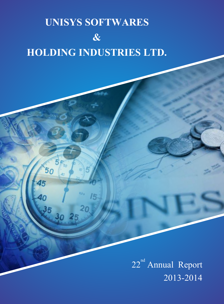# **UNISYS SOFTWARES & HOLDING INDUSTRIES LTD.**

 $50$ 

Б

 $22^{\text{nd}}$  Annual Report 2013-2014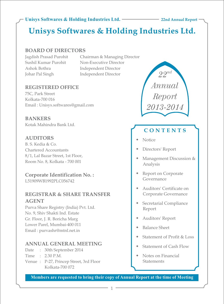# **Unisys Softwares & Holding Industries Ltd.**

#### **BOARD OF DIRECTORS**

Ashok Bothra Independent Director Johar Pal Singh Independent Director

Jagdish Prasad Purohit Chairman & Managing Director Sushil Kumar Purohit Non-Executive Director

#### **REGISTERED OFFICE** 75C, Park Street Kolkata-700 016 Email : Unisys.softwares@gmail.com

**BANKERS** Kotak Mahindra Bank Ltd.

#### **AUDITORS**

B. S. Kedia & Co. Chartered Accountants 8/1, Lal Bazar Street, 1st Floor, Room No. 8, Kolkata - 700 001

#### **Corporate Identification No. :** L51909WB1992PLC056742

#### **REGISTRAR & SHARE TRANSFER AGENT**

Purva Share Registry (India) Pvt. Ltd. No. 9, Shiv Shakti Ind. Estate Gr. Floor, J. R. Boricha Marg Lower Parel, Mumbai-400 011 Email : purvashr@mtnl.net.in

#### **ANNUAL GENERAL MEETING**

- Date : 30th September 2014
- Time : 2.30 P.M.
- Venue : P-27, Princep Street, 3rd Floor Kolkata-700 072



#### **CONTENTS**

- Notice
- -Directors' Report
- Management Discussion & Analysis
- Report on Corporate Governance
- Auditors' Certificate on Corporate Governance
- **+** Secretarial Compliance Report
- Auditors' Report
- Balance Sheet
- -Statement of Profit & Loss
- -Statement of Cash Flow
- Notes on Financial **Statements**

**Members are requested to bring their copy of Annual Report at the time of Meeting**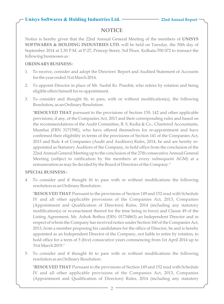#### **NOTICE**

Notice is hereby given that the 22nd Annual General Meeting of the members of **UNISYS SOFTWARES & HOLDING INDUSTRIES LTD.** will be held on Tuesday, the 30th day of September 2014 at 2.30 P.M. at P-27, Princep Street, 3rd Floor, Kolkata-700 072 to transact the following businesses as :

#### **ORDINARY BUSINESS :**

- 1. To receive, consider and adopt the Directors' Report and Audited Statement of Accounts for the year ended 31st March 2014.
- 2. To appoint Director in place of Mr. Sushil Kr. Purohit, who retires by rotation and being eligible offers himself for re-appointment.
- 3. To consider and thought fit, to pass, with or without modification(s), the following Resolution, as an Ordinary Resolution:

**"RESOLVED THAT** pursuant to the provisions of Section 139, 142 and other applicable provisions, if any, of the Companies Act, 2013 and their corresponding rules and based on the recommendations of the Audit Committee, B. S. Kedia & Co., Chartered Accountants, Mumbai (FRN 317159E), who have offered themselves for re-appointment and have confirmed their eligibility in terms of the provisions of Section 141 of the Companies Act, 2013 and Rule 4 of Companies (Audit and Auditors) Rules, 2014, be and are hereby reappointed as Statutory Auditors of the Company, to hold office from the conclusion of the 22nd Annual General Meeting up to the conclusion of the 27th consecutive Annual General Meeting (subject to ratification by the members at every subsequent AGM) at a remuneration as may be decided by the Board of Directors of the Company."

#### **SPECIAL BUSINESS :**

4. To consider and if thought fit to pass with or without modifications the following resolution as an Ordinary Resolution :

**"RESOLVED THAT** Pursuant to the provisions of Section 149 and 152 read with Schedule IV and all other applicable provisions of the Companies Act, 2013, Companies (Appointment and Qualification of Directors) Rules, 2014 (including any statutory modification(s) or re-enactment thereof for the time being in force) and Clause 49 of the Listing Agreement, Mr. Ashok Bothra (DIN: 01734863) an Independent Director and in respect of whom the Company has received notice under Section 160 of the Companies Act, 2013, from a member proposing his candidature for the office of Director, be and is hereby appointed as an Independent Director of the Company, not liable to retire by rotation, to hold office for a term of 5 (five) consecutive years commencing from 1st April 2014 up to 31st March 2019."

5. To consider and if thought fit to pass with or without modifications the following resolution as an Ordinary Resolution :

**"RESOLVED THAT** Pursuant to the provisions of Section 149 and 152 read with Schedule IV and all other applicable provisions of the Companies Act, 2013, Companies (Appointment and Qualification of Directors) Rules, 2014 (including any statutory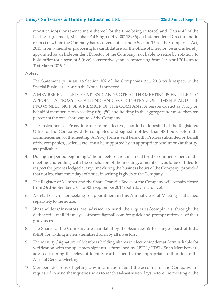modification(s) or re-enactment thereof for the time being in force) and Clause 49 of the Listing Agreement, Mr. Johar Pal Singh (DIN: 00113986) an Independent Director and in respect of whom the Company has received notice under Section 160 of the Companies Act, 2013, from a member proposing his candidature for the office of Director, be and is hereby appointed as an Independent Director of the Company, not liable to retire by rotation, to hold office for a term of 5 (five) consecutive years commencing from 1st April 2014 up to 31st March 2019."

#### **Notes :**

- 1. The Statement pursuant to Section 102 of the Companies Act, 2013 with respect to the Special Business set out in the Notice is annexed.
- 2. A MEMBER ENTITLED TO ATTEND AND VOTE AT THE MEETING IS ENTITLED TO APPOINT A PROXY TO ATTEND AND VOTE INSTEAD OF HIMSELF AND THE PROXY NEED NOT BE A MEMBER OF THE COMPANY. A person can act as Proxy on behalf of members not exceeding fifty (50) and holding in the aggregate not more than ten percent of the total share capital of the Company.
- 3. The instrument of Proxy in order to be effective, should be deposited at the Registered Office of the Company, duly completed and signed, not less than 48 hours before the commencement of the meeting. A Proxy form is sent herewith. Proxies submitted on behalf of the companies, societies etc., must be supported by an appropriate resolution/authority, as applicable.
- 4. During the period beginning 24 hours before the time fixed for the commencement of the meeting and ending with the conclusion of the meeting, a member would be entitled to inspect the proxies lodged at any time during the business hours of the Company, provided that not less than three days of notice in writing is given to the Company.
- 5. The Register of Member and the Share Transfer Books of the Company will remain closed from 23rd September 2014 to 30th September 2014 (both days inclusive).
- 6. A detail of Director seeking re-appointment in this Annual General Meeting is attached separately to the notice.
- 7. Shareholders/Investors are advised to send their queries/complaints through the dedicated e-mail Id unisys.softwares@gmail.com for quick and prompt redressal of their grievances.
- 8. The Shares of the Company are mandated by the Securities & Exchange Board of India (SEBI) for trading in dematerialized form by all investors.
- 9. The identity/signature of Members holding shares in electronic/demat form is liable for verification with the specimen signatures furnished by NSDL/CDSL. Such Members are advised to bring the relevant identity card issued by the appropriate authorities to the Annual General Meeting.
- 10. Members desirous of getting any information about the accounts of the Company, are requested to send their queries so as to reach at-least seven days before the meeting at the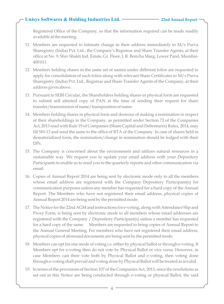Registered Office of the Company, so that the information required can be made readily available at the meeting.

- 11. Members are requested to intimate change in their address immediately to M/s Purva Sharegistry (India) Pvt. Ltd., the Company's Registrar and Share Transfer Agents, at their office at No. 9, Shiv Shakti Ind. Estate, Gr. Floor, J. R. Boricha Marg, Lower Parel, Mumbai-400 011.
- 12. Members holding shares in the same set of names under different folios are requested to apply for consolidation of such folios along with relevant Share Certificates to M/s Purva Sharegistry (India) Pvt. Ltd., Registrar and Share Transfer Agents of the Company, at their address given above.
- 13. Pursuant to SEBI Circular, the Shareholders holding shares in physical form are requested to submit self attested copy of PAN at the time of sending their request for share transfer/transmission of name/transposition of name.
- 14. Members holding shares in physical form and desirous of making a nomination in respect of their shareholdings in the Company, as permitted under Section 72 of the Companies Act, 2013 read with Rule 19 of Companies (Share Capital and Debentures) Rules, 2014, may fill SH-13 and send the same to the office of RTA of the Company. In case of shares held in dematerialized form, the nomination/change in nomination should be lodged with their DPs.
- 15. The Company is concerned about the environment and utilizes natural resources in a sustainable way. We request you to update your email address with your Depository Participants to enable us to send you're the quarterly reports and other communication via email.
- 16. Copies of Annual Report 2014 are being sent by electronic mode only to all the members whose email address are registered with the Company Depository Participant(s) for communication purposes unless any member has requested for a hard copy of the Annual Report. The Members who have not registered their email address, physical copies of Annual Report 2014 are being sent by the permitted mode.
- 17. The Notice for the 22nd AGM and instructions for e-voting, along with Attendance Slip and Proxy Form, is being sent by electronic mode to all members whose email addresses are registered with the Company / Depository Participant(s) unless a member has requested for a hard copy of the same. Members are requested to bring copies of Annual Report to the Annual General Meeting. For members who have not registered their email address, physical copies of aforesaid documents are being sent by the permitted mode.
- 18. Members can opt for one mode of voting i.e. either by physical ballot or through e-voting. If Members opt for e-voting then do not vote by Physical Ballot or vice versa. However, in case Members cast their vote both by Physical Ballot and e-voting, then voting done through e-voting shall prevail and voting done by Physical Ballot will be treated as invalid.
- 19. In terms of the provisions of Section 107 of the Companies Act, 2013, since the resolutions as set out in this Notice are being conducted through e-voting or physical Ballot, the said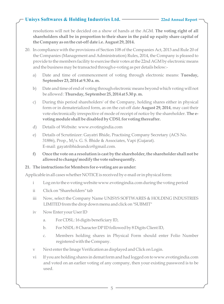resolutions will not be decided on a show of hands at the AGM. **The voting right of all shareholders shall be in proportion to their share in the paid up equity share capital of the Company as on the cut-off date i.e. August 29, 2014.**

- 20. In compliance with the provisions of Section 108 of the Companies Act, 2013 and Rule 20 of the Companies (Management and Administration) Rules, 2014, the Company is pleased to provide to the members facility to exercise their votes at the 22nd AGM by electronic means and the business may be transacted through e-voting as per details below:
	- a) Date and time of commencement of voting through electronic means: **Tuesday, September 23, 2014 at 9.30 a. m.**
	- b) Date and time of end of voting through electronic means beyond which voting will not be allowed :**Thursday, September 25, 2014 at 5.30 p. m.**
	- c) During this period shareholders' of the Company, holding shares either in physical form or in dematerialized form, as on the cut-off date **August 29, 2014**, may cast their vote electronically irrespective of mode of receipt of notice by the shareholder. **The evoting module shall be disabled by CDSL for voting thereafter.**
	- d) Details of Website: www.evotingindia.com
	- e) Details of Scrutinizer: Gayatri Bhide, Practising Company Secretary (ACS No. 31886), Prop., M/s. G. S. Bhide & Associates, Vapi (Gujarat). E-mail: gayatribhideandco@gmail.com.
	- **f) Once the vote on a resolution is cast by the shareholder, the shareholder shall not be allowed to change/ modify the vote subsequently.**

#### **21. The instructions for Members for e-voting are as under:**

Applicable in all cases whether NOTICE is received by e-mail or in physical form:

- i Log on to the e-voting website www.evotingindia.com during the voting period
- ii Click on "Shareholders" tab
- iii Now, select the Company Name UNISYS SOFTWARES & HOLDING INDUSTRIES LIMITED from the drop down menu and click on "SUBMIT"
- iv Now Enter your User ID
	- a. For CDSL: 16 digits beneficiary ID,
	- b. For NSDL: 8 Character DP ID followed by 8 Digits Client ID,
	- c. Members holding shares in Physical Form should enter Folio Number registered with the Company.
- v Next enter the Image Verification as displayed and Click on Login.
- vi If you are holding shares in demat form and had logged on to www.evotingindia.com and voted on an earlier voting of any company, then your existing password is to be used.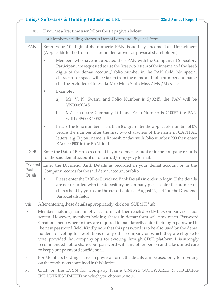| vii                     | If you are a first time user follow the steps given below:                                                                                                                                                                                                                                                                                                                                                                                                                                                                                                                                                                                                              |  |  |  |  |  |  |
|-------------------------|-------------------------------------------------------------------------------------------------------------------------------------------------------------------------------------------------------------------------------------------------------------------------------------------------------------------------------------------------------------------------------------------------------------------------------------------------------------------------------------------------------------------------------------------------------------------------------------------------------------------------------------------------------------------------|--|--|--|--|--|--|
|                         | For Members holding Shares in Demat Form and Physical Form                                                                                                                                                                                                                                                                                                                                                                                                                                                                                                                                                                                                              |  |  |  |  |  |  |
| PAN                     | Enter your 10 digit alpha-numeric PAN issued by Income Tax Department<br>(Applicable for both demat shareholders as well as physical shareholders)                                                                                                                                                                                                                                                                                                                                                                                                                                                                                                                      |  |  |  |  |  |  |
|                         | Members who have not updated their PAN with the Company/ Depository<br>Participant are requested to use the first two letters of their name and the last 8<br>digits of the demat account/ folio number in the PAN field. No special<br>characters or space will be taken from the name and folio number and name<br>shall be excluded of titles like Mr./Mrs./Smt./Miss./Ms./M/s.etc.                                                                                                                                                                                                                                                                                  |  |  |  |  |  |  |
|                         | Example:<br>۰                                                                                                                                                                                                                                                                                                                                                                                                                                                                                                                                                                                                                                                           |  |  |  |  |  |  |
|                         | Mr. V. N. Swami and Folio Number is S/0245, the PAN will be<br>a)<br>VN000S0245                                                                                                                                                                                                                                                                                                                                                                                                                                                                                                                                                                                         |  |  |  |  |  |  |
|                         | M/s. 4-square Company Ltd. and Folio Number is C-0052 the PAN<br>b)<br>will be 4S000C0052                                                                                                                                                                                                                                                                                                                                                                                                                                                                                                                                                                               |  |  |  |  |  |  |
|                         | In case the folio number is less than 8 digits enter the applicable number of 0's<br>۰<br>before the number after the first two characters of the name in CAPITAL<br>letters. e.g. If your name is Ramesh Yadav with folio number 900 then enter<br>RA00000900 in the PAN field.                                                                                                                                                                                                                                                                                                                                                                                        |  |  |  |  |  |  |
| <b>DOB</b>              | Enter the Date of Birth as recorded in your demat account or in the company records<br>for the said demat account or folio in dd/mm/yyyy format.                                                                                                                                                                                                                                                                                                                                                                                                                                                                                                                        |  |  |  |  |  |  |
| Dividend<br><b>Bank</b> | Enter the Dividend Bank Details as recorded in your demat account or in the<br>Company records for the said demat account or folio.                                                                                                                                                                                                                                                                                                                                                                                                                                                                                                                                     |  |  |  |  |  |  |
| Details                 | Please enter the DOB or Dividend Bank Details in order to login. If the details<br>are not recorded with the depository or company please enter the number of<br>shares held by you as on the cut-off date i.e. August 29, 2014 in the Dividend<br>Bank details field.                                                                                                                                                                                                                                                                                                                                                                                                  |  |  |  |  |  |  |
| viii                    | After entering these details appropriately, click on "SUBMIT" tab.                                                                                                                                                                                                                                                                                                                                                                                                                                                                                                                                                                                                      |  |  |  |  |  |  |
| ix                      | Members holding shares in physical form will then reach directly the Company selection<br>screen. However, members holding shares in demat form will now reach 'Password<br>Creation' menu wherein they are required to mandatorily enter their login password in<br>the new password field. Kindly note that this password is to be also used by the demat<br>holders for voting for resolutions of any other company on which they are eligible to<br>vote, provided that company opts for e-voting through CDSL platform. It is strongly<br>recommended not to share your password with any other person and take utmost care<br>to keep your password confidential. |  |  |  |  |  |  |
| $\boldsymbol{\chi}$     | For Members holding shares in physical form, the details can be used only for e-voting<br>on the resolutions contained in this Notice.                                                                                                                                                                                                                                                                                                                                                                                                                                                                                                                                  |  |  |  |  |  |  |
| X1                      | Click on the EVSN for Company Name UNISYS SOFTWARES & HOLDING<br>INDUSTRIES LIMITED on which you choose to vote.                                                                                                                                                                                                                                                                                                                                                                                                                                                                                                                                                        |  |  |  |  |  |  |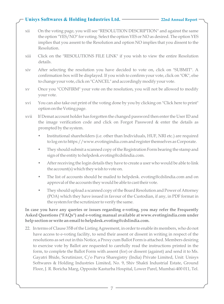- xii On the voting page, you will see "RESOLUTION DESCRIPTION" and against the same the option "YES/NO" for voting. Select the option YES or NO as desired. The option YES implies that you assent to the Resolution and option NO implies that you dissent to the Resolution.
- xiii Click on the "RESOLUTIONS FILE LINK" if you wish to view the entire Resolution details.
- xiv After selecting the resolution you have decided to vote on, click on "SUBMIT". A confirmation box will be displayed. If you wish to confirm your vote, click on "OK", else to change your vote, click on "CANCEL" and accordingly modify your vote.
- xv Once you "CONFIRM" your vote on the resolution, you will not be allowed to modify your vote.
- xvi You can also take out print of the voting done by you by clicking on "Click here to print" option on the Voting page.
- xvii If Demat account holder has forgotten the changed password then enter the User ID and the image verification code and click on Forgot Password & enter the details as prompted by the system.
	- Institutional shareholders (i.e. other than Individuals, HUF, NRI etc.) are required to log on to https://www.evotingindia.com and register themselves as Corporate.
	- They should submit a scanned copy of the Registration Form bearing the stamp and sign of the entity to helpdesk.evoting@cdslindia.com.
	- After receiving the login details they have to create a user who would be able to link the account(s) which they wish to vote on.
	- The list of accounts should be mailed to helpdesk. evoting@cdslindia.com and on approval of the accounts they would be able to cast their vote.
	- They should upload a scanned copy of the Board Resolution and Power of Attorney (POA) which they have issued in favour of the Custodian, if any, in PDF format in the system for the scrutinizer to verify the same.

**In case you have any queries or issues regarding e-voting, you may refer the Frequently Asked Questions ("FAQs") and e-voting manual available at www.evotingindia.com under help section or write an email to helpdesk.evoting@cdslindia.com.**

22. In terms of Clause 35B of the Listing Agreement, in order to enable its members, who do not have access to e-voting facility, to send their assent or dissent in writing in respect of the resolutions as set out in this Notice, a Proxy cum Ballot Form is attached. Members desiring to exercise vote by Ballot are requested to carefully read the instructions printed in the form, to complete the Ballot Form with assent (for) or dissent (against) and send it to Ms. Gayatri Bhide, Scrutinizer, C/o Purva Sharegistry (India) Private Limited, Unit: Unisys Softwares & Holding Industries Limited, No. 9, Shiv Shakti Industrial Estate, Ground Floor, J. R. Boricha Marg, Opposite Kasturba Hospital, Lower Parel, Mumbai-400 011, Tel.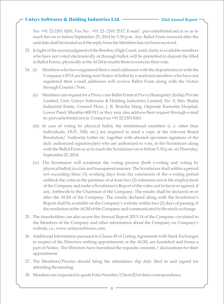No: +91 22-2301 8261, Fax No : +91 22- 2301 2517, E-mail : purvashr@mtnl.net.in so as to reach her on or before September 25, 2014 by 5.30 p.m. Any Ballot Form received after the said date shall be treated as if the reply from the Members has not been received.

- 23. In light of the recent judgment of the Bombay High Court, until clarity is available members who have not voted electronically or through ballot, will be permitted to deposit the filled in Ballot Forms, physically at the AGM to enable them to exercise their vote.
- 24. (i) Members who have registered their e-mail addresses with the depositories or with the Company's RTA are being sent Notice of ballot by e-mail and members who have not registered their e-mail addresses will receive Ballot Form along with the Notice through Courier/ Post.
	- (ii) Members can request for a Proxy cum Ballot Form at Purva Sharegistry (India) Private Limited, Unit: Unisys Softwares & Holding Industries Limited, No. 9, Shiv Shakti Industrial Estate, Ground Floor, J. R. Boricha Marg, Opposite Kasturba Hospital, Lower Parel, Mumbai-400 011 or they may also address their request through e-mail to: purvashr@mtnl.net.in. Contact no +91 22 2301 8261.
	- (iii) In case of voting by physical ballot, the institutional members (i. e. other than individuals, HUF, NRI, etc.) are required to send a copy of the relevant Board Resolution/ Authority Letter etc. together with attested specimen signature of the duly authorized signatory(ies) who are authorized to vote, to the Scrutinizer along with the Ballot Form so as to reach the Scrutinizer on or before 5.30 p.m. on Thursday, September 25, 2014.
	- (iv) The Scrutinizer will scrutinize the voting process (both e-voting and voting by physical ballot) in a fair and transparent manner. The Scrutinizer shall within a period not exceeding three (3) working days from the conclusion of the e-voting period unblock the votes in the presence of at least two (2) witnesses not in the employment of the Company and make a Scrutinizer's Report of the votes cast in favor or against, if any, forthwith to the Chairman of the Company. The results shall be declared on or after the AGM of the Company. The results declared along with the Scrutinizer's Report shall be available on the Company's website within two (2) days of passing of the resolution at the AGM of the Company and communicated to the stock exchange.
- 25. The shareholders can also access the Annual Report 2013-14 of the Company circulated to the Members of the Company and other information about the Company on Company's website, i.e., www.unisyssoftware.com.
- 26. Additional Information pursuant to Clause 49 of Listing Agreement with Stock Exchanges in respect of the Directors seeking appointments at the AGM, are furnished and forms a part of Notice. The Directors have furnished the requisite consents / declarations for their appointment.
- 27. The Members/Proxies should bring the attendance slip duly filed in and signed for attending the meeting.
- 28. Members are requested to quote Folio Number/Client ID in their correspondence.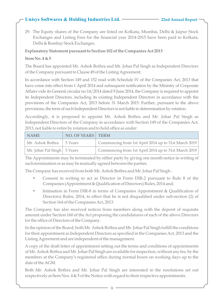29. The Equity shares of the Company are listed on Kolkata, Mumbai, Delhi & Jaipur Stock Exchanges and Listing Fees for the financial year 2014-2015 have been paid to Kolkata, Delhi & Bombay Stock Exchanges.

#### **Explanatory Statement pursuant to Section 102 of the Companies Act 2013**

#### **Item No. 4 & 5**

The Board has appointed Mr. Ashok Bothra and Mr. Johar Pal Singh as Independent Directors of the Company pursuant to Clause 49 of the Listing Agreement.

In accordance with Section 149 and 152 read with Schedule IV of the Companies Act, 2013 that have come into effect from 1 April 2014 and subsequent notification by the Ministry of Corporate Affairs vide its General circular no.14/2014 dated 9 June 2014, the Company is required to appoint its Independent Directors, including its existing Independent Directors in accordance with the provisions of the Companies Act, 2013 before 31 March 2015. Further, pursuant to the above provisions, the term of such Independent Directors is not liable to determination by rotation.

Accordingly, it is proposed to appoint Mr. Ashok Bothra and Mr. Johar Pal Singh as Independent Directors of the Company in accordance with Section 149 of the Companies Act, 2013, not liable to retire by rotation and to hold office as under:

| NAME                          | NO. OF YEARS TERM |                                                      |
|-------------------------------|-------------------|------------------------------------------------------|
| Mr. Ashok Bothra              | 1.5 Years         | Commencing from 1st April 2014 up to 31st March 2019 |
| Mr. Johar Pal Singh   5 Years |                   | Commencing from 1st April 2014 up to 31st March 2019 |

The Appointments may be terminated by either party by giving one month notice in writing of such termination or as may be mutually agreed between the parties.

The Company has received from both Mr. Ashok Bothra and Mr. Johar Pal Singh -

- Consent in writing to act as Director in Form DIR-2 pursuant to Rule 8 of the Companies (Appointment & Qualification of Directors) Rules, 2014 and;
- Intimation in Form DIR-8 in terms of Companies Appointment & Qualification of Directors) Rules, 2014, to effect that he is not disqualified under sub-section (2) of Section 164 of the Companies Act, 2013.

The Company has also received notices from members along with the deposit of requisite amount under Section 160 of the Act proposing the candidatures of each of the above Directors for the office of Directors of the Company.

In the opinion of the Board, both Mr. Ashok Bothra and Mr. Johar Pal Singh fulfill the conditions for their appointment as Independent Directors as specified in the Companies Act, 2013 and the Listing Agreement and are independent of the management.

A copy of the draft letter of appointment setting out the terms and conditions of appointments of Mr. Ashok Bothra and Mr. Johar Pal Singh are available for inspection, without any fee, by the members at the Company's registered office during normal hours on working days up to the date of the AGM.

Both Mr. Ashok Bothra and Mr. Johar Pal Singh are interested in the resolutions set out respectively at Item Nos. 4 & 5 of the Notice with regard to their respective appointments.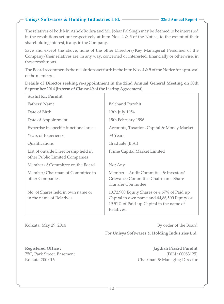The relatives of both Mr. Ashok Bothra and Mr. Johar Pal Singh may be deemed to be interested in the resolutions set out respectively at Item Nos.  $4 \& 5$  of the Notice, to the extent of their shareholding interest, if any, in the Company.

Save and except the above, none of the other Directors/Key Managerial Personnel of the Company/their relatives are, in any way, concerned or interested, financially or otherwise, in these resolutions.

The Board recommends the resolutions set forth in the Item Nos. 4 & 5 of the Notice for approval of the members.

| Sushil Kr. Purohit                                                     |                                                                                                                                                      |
|------------------------------------------------------------------------|------------------------------------------------------------------------------------------------------------------------------------------------------|
| Fathers' Name                                                          | <b>Balchand Purohit</b>                                                                                                                              |
| Date of Birth                                                          | 19th July 1954                                                                                                                                       |
| Date of Appointment                                                    | 15th February 1996                                                                                                                                   |
| Expertise in specific functional areas                                 | Accounts, Taxation, Capital & Money Market                                                                                                           |
| Years of Experience                                                    | 38 Years                                                                                                                                             |
| Qualifications                                                         | Graduate (B.A.)                                                                                                                                      |
| List of outside Directorship held in<br>other Public Limited Companies | Prime Capital Market Limited                                                                                                                         |
| Member of Committee on the Board                                       | Not Any                                                                                                                                              |
| Member/Chairman of Committee in<br>other Companies                     | Member - Audit Committee & Investors'<br>Grievance Committee Chairman - Share<br><b>Transfer Committee</b>                                           |
| No. of Shares held in own name or<br>in the name of Relatives          | 10,72,900 Equity Shares or 4.67% of Paid up<br>Capital in own name and 44,86,500 Equity or<br>19.51% of Paid-up Capital in the name of<br>Relatives. |

**Details of Director seeking re-appointment in the 22nd Annual General Meeting on 30th September 2014 (in term of Clause 49 of the Listing Agreement)**

Kolkata, May 29, 2014 **By order of the Board** 

For **Unisys Softwares & Holding Industries Ltd.**

**Registered Office : Jagdish Prasad Purohit** 75C, Park Street, Basement (DIN : 00083125) Kolkata-700 016 **Chairman & Managing Director**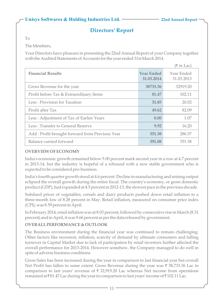#### **Directors' Report**

To

The Members,

Your Directors have pleasure in presenting the 22nd Annual Report of your Company together with the Audited Statements of Accounts for the year ended 31st March 2014.

|                                                |                          | (₹ in Lac)               |
|------------------------------------------------|--------------------------|--------------------------|
| <b>Financial Results</b>                       | Year Ended<br>31.03.2014 | Year Ended<br>31.03.2013 |
| Gross Revenue for the year                     | 38733.36                 | 32919.20                 |
| Profit before Tax & Extraordinary Items        | 81.47                    | 102.11                   |
| Less: Provision for Taxation                   | 31.85                    | 20.02                    |
| Profit after Tax                               | 49.62                    | 82.09                    |
| Less: Adjustment of Tax of Earlier Years       | 0.00                     | 1.07                     |
| Less: Transfer to General Reserve              | 9.92                     | 16.20                    |
| Add: Profit brought forward from Previous Year | 351.38                   | 286.57                   |
| Balance carried forward                        | 391.08                   | 351.38                   |

#### **OVERVIEW OF ECONOMY**

India's economic growth remained below 5.00 percent mark second year in a row at 4.7 percent in 2013-14, but the industry is hopeful of a rebound with a new stable government who is expected to be considered pro-business.

India's fourth quarter growth stood at 4.6 percent. Decline in manufacturing and mining output eclipsed the overall growth during the entire fiscal. The country's economy, or gross domestic product (GDP), had expanded at 4.5 percent in 2012-13, the slowest pace in the previous decade.

Subdued prices of vegetables, cereals and dairy products pushed down retail inflation to a three-month low of 8.28 percent in May. Retail inflation, measured on consumer price index (CPI), was 8.59 percent in April.

In February 2014, retail inflation was at 8.03 percent, followed by consecutive rise in March (8.31 percent) and in April, it was 9.66 percent as per the data released by government.

#### **OVERALL PERFORMANCE & OUTLOOK**

The Business environment during the financial year was continued to remain challenging. Other factors like recession, inflation, scarcity of demand by ultimate consumers and falling turnover in Capital Market due to lack of participation by retail investors further affected the overall performance for 2013-2014. However somehow, the Company managed to do well in spite of adverse business conditions.

Gross Sales has been increased during the year in comparison to last financial year but overall Net Profit has fallen to some extent. Gross Revenue during the year was  $\bar{\tau}$  38,733.36 Lac in comparison to last years' revenue of  $\bar{\tau}$  32,919.20 Lac whereas Net income from operations remained at  $\text{\textsterling}81.47$  Lac during the year in comparison to last years' income of  $\text{\textsterling}102.11$  Lac.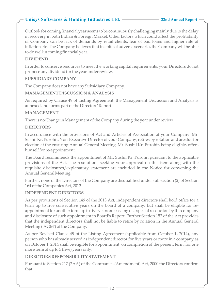Outlook for coming financial year seems to be continuously challenging mainly due to the delay in recovery in both Indian & Foreign Market. Other factors which could affect the profitability of Company can be lack of demands by retail clients, fear of bad loans and higher rate of inflation etc. The Company believes that in spite of adverse scenario, the Company will be able to do well in coming financial year.

#### **DIVIDEND**

In order to conserve resources to meet the working capital requirements, your Directors do not propose any dividend for the year under review.

#### **SUBSIDIARY COMPANY**

The Company does not have any Subsidiary Company.

#### **MANAGEMENT DISCUSSION & ANALYSIS**

As required by Clause 49 of Listing Agreement, the Management Discussion and Analysis is annexed and forms part of the Directors' Report.

#### **MANAGEMENT**

There is no Change in Management of the Company during the year under review.

#### **DIRECTORS**

In accordance with the provisions of Act and Articles of Association of your Company, Mr. Sushil Kr. Purohit, Non-Executive Director of your Company, retires by rotation and are due for election at the ensuring Annual General Meeting. Mr. Sushil Kr. Purohit, being eligible, offers himself for re-appointment.

The Board recommends the appointment of Mr. Sushil Kr. Purohit pursuant to the applicable provisions of the Act. The resolutions seeking your approval on this item along with the requisite disclosures/explanatory statement are included in the Notice for convening the Annual General Meeting.

Further, none of the Directors of the Company are disqualified under sub-section (2) of Section 164 of the Companies Act, 2013.

#### **INDEPENDENT DIRECTORS**

As per provisions of Section 149 of the 2013 Act, independent directors shall hold office for a term up to five consecutive years on the board of a company, but shall be eligible for reappointment for another term up to five years on passing of a special resolution by the company and disclosure of such appointment in Board's Report. Further Section 152 of the Act provides that the independent directors shall not be liable to retire by rotation in the Annual General Meeting ('AGM') of the Company.

As per Revised Clause 49 of the Listing Agreement (applicable from October 1, 2014), any person who has already served as independent director for five years or more in a company as on October 1, 2014 shall be eligible for appointment, on completion of the present term, for one more term of up to 5 (five) years only.

#### **DIRECTORS RESPONSIBILITY STATEMENT**

Pursuant to Section 217 (2AA) of the Companies (Amendment) Act, 2000 the Directors confirm that: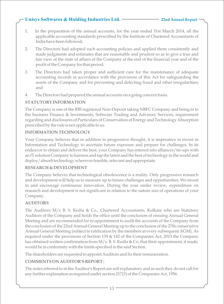- 1. In the preparation of the annual accounts, for the year ended 31st March 2014, all the applicable accounting standards prescribed by the Institute of Chartered Accountants of India have been followed;
- 2. The Directors had adopted such accounting policies and applied them consistently and made judgments and estimates that are reasonable and prudent so as to give a true and fair view of the state of affairs of the Company at the end of the financial year and of the profit of the Company for that period;
- 3. The Directors had taken proper and sufficient care for the maintenance of adequate accounting records in accordance with the provisions of this Act for safeguarding the assets of the Company and for preventing and detecting fraud and other irregularities; and
- 4. The Directors had prepared the annual accounts on a going concern basis.

#### **STATUTORY INFORMATION**

The Company is one of the RBI registered Non-Deposit taking NBFC Company and being in to the business Finance & Investments, Software Trading and Advisory Services, requirement regarding and disclosures of Particulars of Conservation of Energy and Technology Absorption prescribed by the rule is not applicable to us.

#### **INFORMATION TECHNOLOGY**

Your Company believes that in addition to progressive thought, it is imperative to invest in Information and Technology to ascertain future exposure and prepare for challenges. In its endeavor to obtain and deliver the best, your Company has entered into alliances/tie-ups with an IT solution Company to harness and tap the latest and the best of technology in the world and deploy/absorb technology wherever feasible, relevant and appropriate.

#### **RESEARCH & DEVELOPMENT**

The Company believes that technological obsolescence is a reality. Only progressive research and development will help us to measure up to future challenges and opportunities. We invest in and encourage continuous innovation. During the year under review, expenditure on research and development is not significant in relation to the nature size of operations of your Company.

#### **AUDITORS**

The Auditors M/s B. S. Kedia & Co., Chartered Accountants, Kolkata who are Statutory Auditors of the Company and holds the office until the conclusion of ensuing Annual General Meeting and are recommended for re-appointment to audit the accounts of the Company from the conclusion of the 22nd Annual General Meeting up to the conclusion of the 27th consecutive Annual General Meeting (subject to ratification by the members at every subsequent AGM). As required under the provisions of Section 139 & 142 of the Companies Act, 2013 the Company has obtained written confirmation from M/s. B. S. Kedia & Co, that their appointment, if made, would be in conformity with the limits specified in the said Section.

The shareholders are requested to appoint Auditors and fix their remuneration.

#### **COMMENTS ON AUDITOR'S REPORT :**

The notes referred to in the Auditor's Report are self explanatory and as such they do not call for any further explanation as required under section 217(3) of the Companies Act, 1956.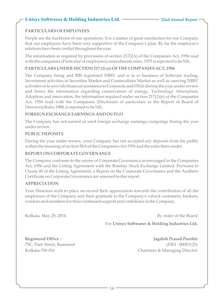#### **PARTICULARS OF EMPLOYEES**

People are the backbone of our operations. It is a matter of great satisfaction for our Company that our employees have been very supportive of the Company's plan. By far the employee's relations have been cordial throughout the year.

The information as required by provisions of section 217(2A) of the Companies Act, 1956 read with the companies (Particular of employees) amendments rules, 1975 is reported to be NIL.

#### **PARTICULARS UNDER SECTION 217 (1) (e) OF THE COMPANIES ACT, 1956**

The Company being and RBI registered NBFC and is in to business of Software trading, Investment activities in Securities Market and Commodities Market as well as carrying NBFC activities or to provide financial assistance to Corporate and HNIs during the year under review and hence the information regarding conservation of energy, Technology Absorption, Adoption and innovation, the information required under section  $217(1)(e)$  of the Companies Act, 1956 read with the Companies (Disclosure of particulars in the Report of Board of Directors) Rules 1988, is reported to be NIL.

#### **FOREIGN EXCHANGE EARNINGS AND OUTGO**

The Company has not earned or used foreign exchange earnings/outgoings during the year under review.

#### **PUBLIC DEPOSITS**

During the year under review, your Company has not accepted any deposits from the public within the meaning of section 58A of the Companies Act 1956 and the rules there under.

#### **REPORT ON CORPORATE GOVERNANCE**

The Company conforms to the norms of Corporate Governance as envisaged in the Companies Act, 1956 and the Listing Agreement with the Bombay Stock Exchange Limited. Pursuant to Clause 49 of the Listing Agreement, a Report on the Corporate Governance and the Auditors Certificate on Corporate Governance are annexed to this report.

#### **APPRECIATION**

Your Directors wish to place on record their appreciation towards the contribution of all the employees of the Company and their gratitude to the Company's valued customers, bankers, vendors and members for their continued support and confidence in the Company.

Kolkata, May 29, 2014 **By order of the Board** 

For **Unisys Softwares & Holding Industries Ltd.**

**Registered Office : Jagdish Prasad Purohit** 75C, Park Street, Basement (DIN : 00083125) Kolkata-700 016 Chairman & Managing Director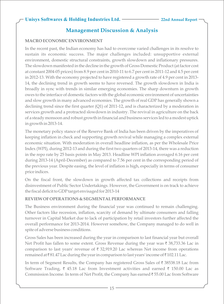#### **Management Discussion & Analysis**

#### **MACRO ECONOMIC ENVIRONMENT**

In the recent past, the Indian economy has had to overcome varied challenges in its resolve to sustain its economic success. The major challenges included: unsupportive external environment, domestic structural constraints, growth slowdown and inflationary pressures. The slowdown manifested in the decline in the growth of Gross Domestic Product (at factor cost at constant 2004-05 prices) from 8.9 per cent in 2010-11 to 6.7 per cent in 2011-12 and 4.5 per cent in 2012-13. With the economy projected to have registered a growth rate of 4.9 per cent in 2013- 14, the declining trend in growth seems to have reversed. The growth slowdown in India is broadly in sync with trends in similar emerging economies. The sharp downturn in growth owes to the interface of domestic factors with the global economic environment of uncertainties and slow growth in many advanced economies. The growth of real GDP has generally shown a declining trend since the first quarter (Q1) of 2011-12, and is characterized by a moderation in services growth and a protracted slowdown in industry. The revival in agriculture on the back of a steady monsoon and robust growth in financial and business services led to a modest uptick in growth in 2013-14.

The monetary policy stance of the Reserve Bank of India has been driven by the imperatives of keeping inflation in check and supporting growth revival while managing a complex external economic situation. With moderation in overall headline inflation, as per the Wholesale Price Index (WPI), during 2012-13 and during the first two quarters of 2013-14, there was a reduction in the repo rate by 25 basis points in May 2013. Headline WPI inflation averaged 6.16 per cent during 2013-14 (April-December) as compared to 7.56 per cent in the corresponding period of the previous year. Despite easing, the level of inflation is high, especially in terms of consumer price indices.

On the fiscal front, the slowdown in growth affected tax collections and receipts from disinvestment of Public Sector Undertakings. However, the Government is on track to achieve the fiscal deficit to GDP target envisaged for 2013-14

#### **REVIEW OF OPERATIONS & SEGMENTAL PERFORMANCE**

The Business environment during the financial year was continued to remain challenging. Other factors like recession, inflation, scarcity of demand by ultimate consumers and falling turnover in Capital Market due to lack of participation by retail investors further affected the overall performance for 2013-2014. However somehow, the Company managed to do well in spite of adverse business conditions.

Gross Sales has been increased during the year in comparison to last financial year but overall Net Profit has fallen to some extent. Gross Revenue during the year was  $\bar{z}$  38,733.36 Lac in comparison to last years' revenue of  $\bar{\tau}$  32,919.20 Lac whereas Net income from operations remained at  $\text{\textsterling}81.47$  Lac during the year in comparison to last years' income of  $\text{\textsterling}102.11$  Lac.

In term of Segment Results, the Company has registered Gross Sales of  $\bar{\tau}$  38538.18 Lac from Software Trading,  $\bar{\xi}$  45.18 Lac from Investment activities and earned  $\bar{\xi}$  150.00 Lac as Commission Income. In term of Net Profit, the Company has earned  $\bar{z}$  55.00 Lac from Software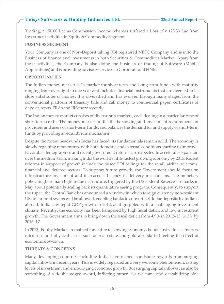Trading,  $\bar{\tau}$  150.00 Lac as Commission Income whereas suffered a Loss of  $\bar{\tau}$  123.53 Lac from Investment activities in Equity & Commodity Segment.

#### **BUSINESS SEGMENT**

Your Company is one of Non-Deposit taking RBI registered NBFC Company and is in to the Business of finance and investments in both Securities & Commodities Market. Apart from these activities, the Company is also doing the business of trading of Software (Mobile Applications) and is providing advisory services to Corporate and HNIs.

#### **OPPORTUNITIES**

The Indian money market is "a market for short-term and Long term funds with maturity ranging from overnight to one year and includes financial instruments that are deemed to be close substitutes of money. It is diversified and has evolved through many stages, from the conventional platform of treasury bills and call money to commercial paper, certificates of deposit, repos, FRAs and IRS more recently.

The Indian money market consists of diverse sub-markets, each dealing in a particular type of short-term credit. The money market fulfills the borrowing and investment requirements of providers and users of short-term funds, and balances the demand for and supply of short-term funds by providing an equilibrium mechanism.

Despite the recent headwinds India has faced, its fundamentals remain solid. The economy is slowly regaining momentum, with both domestic and external conditions starting to improve. Favorable demographics and recent government reforms are expected to accelerate expansion over the medium term, making India the world's fifth-fastest growing economy by 2015. Recent reforms in support of growth include the raised FDI ceilings for the retail, airline, telecoms, financial and defense sectors. To support future growth, the Government should focus on infrastructure investment and increased efficiency in delivery mechanisms. The monetary policy might remain tight in the near future, triggered by the US Federal Reserve's remarks in May about potentially scaling back its quantitative easing program. Consequently, to support the rupee, the Central Bank has announced a window in which foreign currency non-resident US dollar fund swaps will be allowed, enabling banks to convert US dollar deposits by Indians abroad. India saw tepid GDP growth in 2012, as it grappled with a challenging investment climate. Recently, the economy has been hampered by high fiscal deficit and low investment growth. The Government aims to bring down the fiscal deficit from 4.9% in 2012–13, to 3% by 2016–17.

In 2013, Equity Markets remained tame due to slowing economy, bonds lost value as interest rates rose and physical assets such as real estate and gold also started feeling the effect of economic slowdown.

#### **THREATS & CONCERNS**

Many developing countries including India have reaped handsome rewards from surging capital inflows in recent years. This is widely regarded as a very welcome phenomenon, raising levels of investment and encouraging economic growth. But surging capital inflows can also be something of a double-edged sword, inflicting rather less welcome and destabilizing side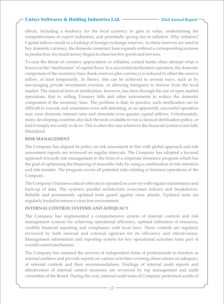effects, including a tendency for the local currency to gain in value, undermining the competitiveness of export industries, and potentially giving rise to inflation. Why inflation? Capital inflows result in a buildup of foreign exchange reserves. As these reserves are used to buy domestic currency, the domestic monetary base expands without a corresponding increase in production: too much money begins to chase too few goods and services.

To ease the threat of currency appreciation or inflation, central banks often attempt what is known as the "sterilization" of capital flows. In a successful sterilization operation, the domestic component of the monetary base (bank reserves plus currency) is reduced to offset the reserve inflow, at least temporarily. In theory, this can be achieved in several ways, such as by encouraging private investment overseas, or allowing foreigners to borrow from the local market. The classical form of sterilization, however, has been through the use of open market operations, that is, selling Treasury bills and other instruments to reduce the domestic component of the monetary base. The problem is that, in practice, such sterilization can be difficult to execute and sometimes even self-defeating, as an apparently successful operation may raise domestic interest rates and stimulate even greater capital inflows. Unfortunately, many developing countries also lack the tools available to run a classical sterilization policy, or find it simply too costly to do so. This is often the case wherever the financial system is not fully liberalized.

#### **RISK MANAGEMENT**

The Company has aligned its policy on risk assessment in line with global approach and risk assessment reports are reviewed on regular intervals. The Company has adopted a focused approach towards risk management in the form of a corporate insurance program which has the goal of optimizing the financing of insurable risks by using a combination of risk retention and risk transfer. The program covers all potential risks relating to business operations of the Company.

The Company's business critical software is operated on a server with regular maintenance and back-up of data. The system's parallel architecture overcomes failures and breakdowns. Reliable and permanently updated tools guard against virus attacks. Updated tools are regularly loaded to ensure a virus free environment.

#### **INTERNAL CONTROL SYSTEMS AND ADEQUACY**

The Company has implemented a comprehensive system of internal controls and risk management systems for achieving operational efficiency, optimal utilisation of resources, credible financial reporting and compliance with local laws. These controls are regularly reviewed by both internal and external agencies for its efficiency and effectiveness. Management information and reporting system for key operational activities form part of overall control mechanism.

The Company has retained the services of independent firms of professionals to function as internal auditors and provide reports on various activities covering observations on adequacy of internal controls and their recommendations. Findings of internal audit reports and effectiveness of internal control measures are reviewed by top management and audit committee of the Board. During the year, internal audit team of Company performed audits of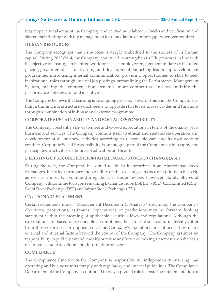major operational areas of the Company and carried out elaborate checks and verification and shared their findings with top management for remediation of minor gaps wherever required.

#### **HUMAN RESOURCES**

The Company recognizes that its success is deeply embedded in the success of its human capital. During 2013-2014, the Company continued to strengthen its HR processes in line with its objective of creating an inspired workforce. The employee engagement initiatives included placing greater emphasis on learning and development, launching leadership development programme, introducing internal communication, providing opportunities to staff to seek inspirational roles through internal job postings, streamlining the Performance Management System, making the compensation structure more competitive and streamlining the performance-link rewards and incentives.

The Company believes that learning is an ongoing process. Towards this end, the Company has built a training infrastructure which seeks to upgrade skill levels across grades and functions through a combination of in-house and external programme.

#### **CORPORATE SUSTAINABILITY AND SOCIAL RESPONSIBILITY**

The Company constantly strives to meet and exceed expectations in terms of the quality of its business and services. The Company commits itself to ethical and sustainable operation and development of all business activities according to responsible care and its own code of conduct. Corporate Social Responsibility is an integral part of the Company's philosophy and participates in activities in the area of education and health.

#### **DELISTING OF SECURITIES FROM AHMEDABAD STOCK EXCHANGE (ASE)**

During the year, the Company has opted to de-list its securities from Ahmedabad Stock Exchanges due to lack turnover and volatility on this exchange, absence of liquidity in the scrip as well as almost Nil volume during the year under review. However, Equity Shares of Company will continue to list on remaining Exchange i.e. on BSE Ltd. (BSE), CSE Limited (CSE), Delhi Stock Exchange (DSE) and Jaipur Stock Exchange (JSE).

#### **CAUTIONARY STATEMENT**

Certain statements under "Management Discussion & Analysis" describing the Company's objectives, projections, estimates, expectations or predictions may be forward looking statement within the meaning of applicable securities laws and regulations. Although the expectations are based on reasonable assumptions, the actual results could materially differ from those expressed or implied, since the Company's operations are influenced by many external and internal factors beyond the control of the Company. The Company assumes no responsibility to publicly amend, modify or revise any forward looking statements, on the basis of any subsequent developments, information or events.

#### **COMPLIANCE**

The Compliance function of the Company is responsible for independently ensuring that operating and business units comply with regulatory and internal guidelines. The Compliance Department of the Company is continued to play a pivotal role in ensuring implementation of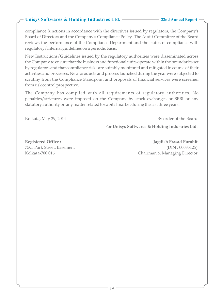compliance functions in accordance with the directives issued by regulators, the Company's Board of Directors and the Company's Compliance Policy. The Audit Committee of the Board reviews the performance of the Compliance Department and the status of compliance with regulatory/internal guidelines on a periodic basis.

New Instructions/Guidelines issued by the regulatory authorities were disseminated across the Company to ensure that the business and functional units operate within the boundaries set by regulators and that compliance risks are suitably monitored and mitigated in course of their activities and processes. New products and process launched during the year were subjected to scrutiny from the Compliance Standpoint and proposals of financial services were screened from risk control prospective.

The Company has complied with all requirements of regulatory authorities. No penalties/strictures were imposed on the Company by stock exchanges or SEBI or any statutory authority on any matter related to capital market during the last three years.

Kolkata, May 29, 2014 **By order of the Board** 

For **Unisys Softwares & Holding Industries Ltd.**

**Registered Office : Jagdish Prasad Purohit Jagdish Prasad Purohit** 75C, Park Street, Basement (DIN : 00083125) Kolkata-700 016 **Chairman & Managing Director**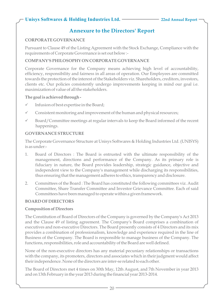#### **Annexure to the Directors' Report**

#### **CORPORATE GOVERNANCE**

Pursuant to Clause 49 of the Listing Agreement with the Stock Exchange, Compliance with the requirements of Corporate Governance is set out below :-

#### **COMPANY'S PHILOSOPHY ON CORPORATE GOVERNANCE**

Corporate Governance for the Company means achieving high level of accountability, efficiency, responsibility and fairness in all areas of operation. Our Employees are committed towards the protection of the interest of the Stakeholders viz. Shareholders, creditors, investors, clients etc. Our policies consistently undergo improvements keeping in mind our goal i.e. maximization of value of all the stakeholders.

#### **The goal is achieved through -**

- $\checkmark$  Infusion of best expertise in the Board;
- Consistent monitoring and improvement of the human and physical resources;
- $\checkmark$  Board/Committee meetings at regular intervals to keep the Board informed of the recent happenings.

#### **GOVERNANCE STRUCTURE**

The Corporate Governance Structure at Unisys Softwares & Holding Industries Ltd. (UNISYS) is as under:-

- 1. Board of Directors : The Board is entrusted with the ultimate responsibility of the management, directions and performance of the Company. As its primary role is fiduciary in nature, the Board provides leadership, strategic guidance, objective and independent view to the Company's management while discharging its responsibilities, thus ensuring that the management adheres to ethics, transparency and disclosure.
- 2. Committees of the Board : The Board has constituted the following committees viz. Audit Committee, Share Transfer Committee and Investor Grievance Committee. Each of said Committees have been managed to operate within a given framework.

#### **BOARD OF DIRECTORS**

#### **Composition of Directors**

The Constitution of Board of Directors of the Company is governed by the Company's Act 2013 and the Clause 49 of listing agreement. The Company's Board comprises a combination of executives and non-executive Directors. The Board presently consists of 4 Directors and its mix provides a combination of professionalism, knowledge and experience required in the line of Business of the Company. The Board is responsible to manage business of the Company. The functions, responsibilities, role and accountability of the Board are well defined.

None of the non-executive directors has any material pecuniary relationships or transactions with the company, its promoters, directors and associates which in their judgment would affect their independence. None of the directors are inter-se related to each other.

The Board of Directors met 4 times on 30th May, 12th August, and 7th November in year 2013 and on 13th February in the year 2013 during the financial year 2013-2014.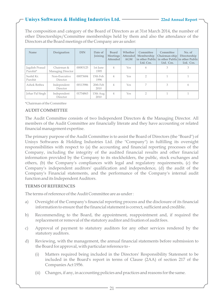The composition and category of the Board of Directors as at 31st March 2014, the number of other Directorships/Committee memberships held by them and also the attendance of the Directors at the Board meetings of the Company are as under:

| Name                       | Designation                     | <b>DIN</b> | Date of<br>Joining | <b>Board</b><br>Meetings<br>Attended | Whether<br>Attended<br>AGM | Committee<br>Membership<br>Ltd. Cos. | Committee<br>Chairman-ship<br>in other Public in other Public in other Public<br>Ltd. Cos. | No. of<br>Directorship<br>Ltd. Cos. |
|----------------------------|---------------------------------|------------|--------------------|--------------------------------------|----------------------------|--------------------------------------|--------------------------------------------------------------------------------------------|-------------------------------------|
| Jagdish Prasad<br>Purohit* | Chairman &<br>Managing Director | 00083125   | 1st June<br>1995   | $\overline{4}$                       | Yes                        | 6                                    | 3                                                                                          | 3                                   |
| Sushil Kr.<br>Purohit      | Non-Executive<br>Director       | 00073684   | 15th Feb.<br>1996  | 4                                    | Yes                        | $\overline{2}$                       |                                                                                            |                                     |
| Ashok Bothra               | Independent<br>Director         | 00113986   | 20th Feb<br>2010   | $\overline{4}$                       | Yes                        | 7                                    | 3                                                                                          | 6                                   |
| Johar Pal Singh            | Independent<br>Director         | 01734863   | 13th Aug<br>2010   | 4                                    | Yes                        | 2                                    | и                                                                                          | 1                                   |

\*Chairman of the Committee

#### **AUDIT COMMITTEE**

The Audit Committee consists of two Independent Directors & the Managing Director. All members of the Audit Committee are financially literate and they have accounting or related financial management expertise.

The primary purpose of the Audit Committee is to assist the Board of Directors (the "Board") of Unisys Softwares & Holding Industries Ltd. (the "Company") in fulfilling its oversight responsibilities with respect to (a) the accounting and financial reporting processes of the Company, including the integrity of the audited financial results and other financial information provided by the Company to its stockholders, the public, stock exchanges and others, (b) the Company's compliances with legal and regulatory requirements, (c) the Company's independent auditors' qualification and independence, (d) the audit of the Company's Financial statements, and the performance of the Company's internal audit function and its Independent Auditors.

#### **TERMS OF REFERENCES**

The terms of reference of the Audit Committee are as under :

- a) Oversight of the Company's financial reporting process and the disclosure of its financial information to ensure that the financial statement is correct, sufficient and credible.
- b) Recommending to the Board, the appointment, reappointment and, if required the replacement or removal of the statutory auditor and fixation of audit fees.
- c) Approval of payment to statutory auditors for any other services rendered by the statutory auditors.
- d) Reviewing, with the management, the annual financial statements before submission to the Board for approval, with particular reference to -
	- (i) Matters required being included in the Directors' Responsibility Statement to be included in the Board's report in terms of Clause (2AA) of section 217 of the Companies Act 1956.
	- (ii) Changes, if any, in accounting policies and practices and reasons for the same.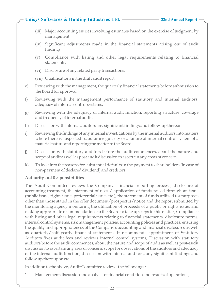- (iii) Major accounting entries involving estimates based on the exercise of judgment by management.
- (iv) Significant adjustments made in the financial statements arising out of audit findings.
- (v) Compliance with listing and other legal requirements relating to financial statements.
- (vi) Disclosure of any related party transactions.
- (vii) Qualifications in the draft audit report.
- e) Reviewing with the management, the quarterly financial statements before submission to the Board for approval.
- f) Reviewing with the management performance of statutory and internal auditors, adequacy of internal control systems.
- g) Reviewing with the adequacy of internal audit function, reporting structure, coverage and frequency of internal audit.
- h) Discussion with internal auditors any significant findings and follow-up thereon.
- i) Reviewing the findings of any internal investigations by the internal auditors into matters where there is suspected fraud or irregularity or a failure of internal control system of a material nature and reporting the matter to the Board.
- j) Discussion with statutory auditors before the audit commences, about the nature and scope of audit as well as post audit discussion to ascertain any areas of concern.
- k) To look into the reasons for substantial defaults in the payment to shareholders (in case of non-payment of declared dividend) and creditors.

#### **Authority and Responsibilities**

The Audit Committee reviews the Company's financial reporting process, disclosure of accounting treatment, the statement of uses / application of funds raised through an issue (public issue, rights issue, preferential issue, etc.), the statement of funds utilized for purposes other than those stated in the offer document/prospectus/notice and the report submitted by the monitoring agency monitoring the utilization of proceeds of a public or rights issue, and making appropriate recommendations to the Board to take up steps in this matter, Compliance with listing and other legal requirements relating to financial statements, disclosure norms, internal control systems, risk management policies, accounting policies and practices, ensuring the quality and appropriateness of the Company's accounting and financial disclosures as well as quarterly/half yearly financial statements. It recommends appointment of Statutory Auditors fixes audit fees and reviews internal control systems, Discussion with statutory auditors before the audit commences, about the nature and scope of audit as well as post-audit discussion to ascertain any area of concern, scope for observations of the auditors and adequacy of the internal audit function, discussion with internal auditors, any significant findings and follow up there upon etc.

In addition to the above, Audit Committee reviews the followings :

1. Management discussion and analysis of financial condition and results of operations;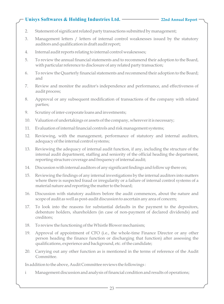- 2. Statement of significant related party transactions submitted by management;
- 3. Management letters / letters of internal control weaknesses issued by the statutory auditors and qualification in draft audit report;
- 4. Internal audit reports relating to internal control weaknesses;
- 5. To review the annual financial statements and to recommend their adoption to the Board, with particular reference to disclosure of any related party transaction;
- 6. To review the Quarterly financial statements and recommend their adoption to the Board; and
- 7. Review and monitor the auditor's independence and performance, and effectiveness of audit process;
- 8. Approval or any subsequent modification of transactions of the company with related parties;
- 9. Scrutiny of inter-corporate loans and investments;
- 10. Valuation of undertakings or assets of the company, wherever it is necessary;
- 11. Evaluation of internal financial controls and risk management systems;
- 12. Reviewing, with the management, performance of statutory and internal auditors, adequacy of the internal control systems;
- 13. Reviewing the adequacy of internal audit function, if any, including the structure of the internal audit department, staffing and seniority of the official heading the department, reporting structure coverage and frequency of internal audit;
- 14. Discussion with internal auditors of any significant findings and follow up there on;
- 15. Reviewing the findings of any internal investigations by the internal auditors into matters where there is suspected fraud or irregularity or a failure of internal control systems of a material nature and reporting the matter to the board;
- 16. Discussion with statutory auditors before the audit commences, about the nature and scope of audit as well as post-audit discussion to ascertain any area of concern;
- 17. To look into the reasons for substantial defaults in the payment to the depositors, debenture holders, shareholders (in case of non-payment of declared dividends) and creditors;
- 18. To review the functioning of the Whistle Blower mechanism;
- 19. Approval of appointment of CFO (i.e., the whole-time Finance Director or any other person heading the finance function or discharging that function) after assessing the qualifications, experience and background, etc. of the candidate;
- 20. Carrying out any other function as is mentioned in the terms of reference of the Audit Committee.

In addition to the above, Audit Committee reviews the followings :

i Management discussion and analysis of financial condition and results of operations;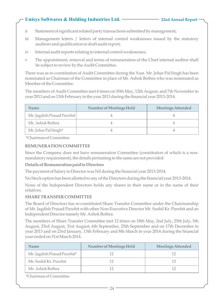- ii Statement of significant related party transactions submitted by management;
- iii Management letters / letters of internal control weaknesses issued by the statutory auditors and qualification in draft audit report;
- iv Internal audit reports relating to internal control weaknesses;
- v The appointment, removal and terms of remuneration of the Chief internal auditor shall be subject to review by the Audit Committee.

There was as re-constitution of Audit Committee during the Year. Mr. Johar Pal Singh has been nominated as Chairman of the Committee in place of Mr. Ashok Bothra who was nominated as Member of the Committee.

The members of Audit Committee met 4 times on 30th May, 12th August, and 7th November in year 2013 and on 13th February in the year 2013 during the financial year 2013-2014.

| <b>Name</b>                | Number of Meetings Held | <b>Meetings Attended</b> |  |
|----------------------------|-------------------------|--------------------------|--|
| Mr. Jagdish Prasad Purohit |                         |                          |  |
| Mr. Ashok Bothra           |                         |                          |  |
| Mr. Johar Pal Singh*       |                         |                          |  |

\*Chairman of Committee

#### **REMUNERATION COMMITTEE**

Since the Company does not have remuneration Committee (constitution of which is a nonmandatory requirement), the details pertaining to the same are not provided

#### **Details of Remuneration paid to Directors**

The payment of Salary to Director was Nil during the financial year 2013-2014.

No Stock option has been allotted to any of the Directors during the financial year 2013-2014.

None of the Independent Directors holds any shares in their name or in the name of their relatives.

#### **SHARE TRANSFER COMMITTEE**

The Board of Directors has re-constituted Share Transfer Committee under the Chairmanship of Mr. Jagdish Prasad Purohit with other Non-Executive Director Mr. Sushil Kr. Purohit and an Independent Director namely Mr. Ashok Bothra.

The members of Share Transfer Committee met 12 times on 18th May, 2nd July, 25th July, 5th August, 23rd August, 31st August, 6th September, 25th September and on 17th December in year 2013 and on 23rd January, 13th February and 8th March in year 2014 during the financial year ended on 31st March 2014.

| Name <sup>1</sup>           | Number of Meetings Held | <b>Meetings Attended</b> |  |
|-----------------------------|-------------------------|--------------------------|--|
| Mr. Jagdish Prasad Purohit* |                         |                          |  |
| Mr. Sushil Kr. Purohit      |                         |                          |  |
| Mr. Ashok Bothra            |                         |                          |  |

\*Chairman of Committee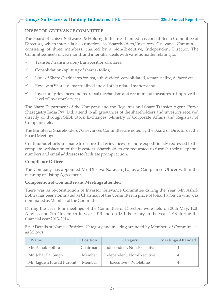#### **INVESTOR GRIEVANCE COMMITTEE**

The Board of Unisys Softwares & Holding Industries Limited has constituted a Committee of Directors, which inter-alia also functions as "Shareholders/Investors" Grievance Committee, consisting of three members, chaired by a Non-Executive, Independent Director. The Committee meets once a month and inter-alia, deals with various matter relating to:

- Transfer/transmission/transposition of shares;
- Consolidation/splitting of shares/folios;
- Issue of Share Certificates for lost, sub-divided, consolidated, rematerialize, defaced etc;
- Review of Shares dematerialized and all other related matters; and
- Investors' grievances and redressal mechanism and recommend measures to improve the level of Investor Services.

The Share Department of the Company and the Registrar and Share Transfer Agent, Purva Sharegistry India Pvt. Ltd. attend to all grievances of the shareholders and investors received directly or through SEBI, Stock Exchanges, Ministry of Corporate Affairs and Registrar of Companies etc.

The Minutes of Shareholders'/Grievances Committee are noted by the Board of Directors at the Board Meetings.

Continuous efforts are made to ensure that grievances are more expeditiously redressed to the complete satisfaction of the investors. Shareholders are requested to furnish their telephone numbers and email addresses to facilitate prompt action.

#### **Compliance Officer**

The Company has appointed Mr. Dhruva Narayan Jha, as a Compliance Officer within the meaning of Listing Agreement.

#### **Composition of Committee and Meetings attended**

There was as re-constitution of Investor Grievance Committee during the Year. Mr. Ashok Bothra has been nominated as Chairman of the Committee in place of Johar Pal Singh who was nominated as Member of the Committee.

During the year, four meetings of the Committee of Directors were held on 30th May, 12th August, and 7th November in year 2013 and on 13th February in the year 2013 during the financial year 2013-2014.

Brief Details of Names, Position, Category and meeting attended by Members of Committee is as follows:

| <b>Name</b>                | <b>Position</b> | Category                   | <b>Meetings Attended</b> |
|----------------------------|-----------------|----------------------------|--------------------------|
| Mr. Ashok Bothra           | Chairman        | Independent, Non-Executive |                          |
| Mr. Johar Pal Singh        | Member          | Independent, Non-Executive |                          |
| Mr. Jagdish Prasad Purohit | Member          | Executive - Wholetime      |                          |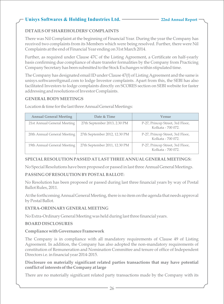#### **DETAILS OF SHAREHOLDERS' COMPLAINTS**

There was Nil Complaint at the beginning of Financial Year. During the year the Company has received two complaints from its Members which were being resolved. Further, there were Nil Complaints at the end of Financial Year ending on 31st March 2014.

Further, as required under Clause 47C of the Listing Agreement, a Certificate on half-yearly basis confirming due compliance of share transfer formalities by the Company from Practicing Company Secretary has been submitted to the Stock Exchanges within stipulated time.

The Company has designated email ID under Clause 47(f) of Listing Agreement and the same is unisys.softwares@gmail.com to lodge Investor complaints. Apart from this, the SEBI has also facilitated Investors to lodge complaints directly on SCORES section on SEBI website for faster addressing and resolutions of Investor Complaints.

#### **GENERAL BODY MEETINGS**

| <b>Annual General Meeting</b> | Date & Time                   | Venue                                                  |  |  |
|-------------------------------|-------------------------------|--------------------------------------------------------|--|--|
| 21st Annual General Meeting   | 27th September 2013, 2.30 PM  | P-27, Princep Street, 3rd Floor,<br>Kolkata - 700 072. |  |  |
| 20th Annual General Meeting   | 27th September 2012, 12.30 PM | P-27, Princep Street, 3rd Floor,<br>Kolkata - 700 072. |  |  |
| 19th Annual General Meeting   | 27th September 2011, 12.30 PM | P-27, Princep Street, 3rd Floor,<br>Kolkata - 700 072. |  |  |

Location & time for the last three Annual General Meetings:

#### **SPECIAL RESOLUTION PASSED AT LAST THREE ANNUAL GENERAL MEETINGS:**

No Special Resolutions have been proposed or passed in last three Annual General Meetings.

#### **PASSING OF RESOLUTION BY POSTAL BALLOT:**

No Resolution has been proposed or passed during last three financial years by way of Postal Ballot Rules, 2011.

At the forthcoming Annual General Meeting, there is no item on the agenda that needs approval by Postal Ballot.

#### **EXTRA-ORDINARY GENERAL MEETING**

No Extra-Ordinary General Meeting was held during last three financial years.

#### **BOARD DISCLOSURES**

#### **Compliance with Governance Framework**

The Company is in compliance with all mandatory requirements of Clause 49 of Listing Agreement. In addition, the Company has also adopted the non-mandatory requirements of constitution of Remuneration and Nomination Committee and tenure of office of Independent Directors i.e. in financial year 2014-2015.

#### **Disclosure on materially significant related parties transactions that may have potential conflict of interests of the Company at large**

There are no materially significant related party transactions made by the Company with its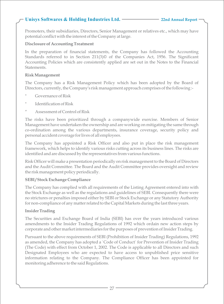Promoters, their subsidiaries, Directors, Senior Management or relatives etc., which may have potential conflict with the interest of the Company at large.

#### **Disclosure of Accounting Treatment**

In the preparation of financial statements, the Company has followed the Accounting Standards referred to in Section 211(3)© of the Companies Act, 1956. The Significant Accounting Policies which are consistently applied are set out in the Notes to the Financial Statements.

#### **Risk Management**

The Company has a Risk Management Policy which has been adopted by the Board of Directors, currently, the Company's risk management approach comprises of the following :-

- Governance of Risk
- Identification of Risk
- Assessment of Control of Risk

The risks have been prioritized through a companywide exercise. Members of Senior Management have undertaken the ownership and are working on mitigating the same through co-ordination among the various departments, insurance coverage, security policy and personal accident coverage for lives of all employees.

The Company has appointed a Risk Officer and also put in place the risk management framework, which helps to identify various risks cutting across its business lines. The risks are identified and are discussed by the representatives from various functions.

Risk Officer will make a presentation periodically on risk management to the Board of Directors and the Audit Committee. The Board and the Audit Committee provides oversight and review the risk management policy periodically.

#### **SEBI / Stock Exchange Compliance**

The Company has complied with all requirements of the Listing Agreement entered into with the Stock Exchange as well as the regulations and guidelines of SEBI. Consequently there were no strictures or penalties imposed either by SEBI or Stock Exchange or any Statutory Authority for non-compliance of any matter related to the Capital Markets during the last three years.

#### **Insider Trading**

The Securities and Exchange Board of India (SEBI) has over the years introduced various amendments to the Insider Trading Regulations of 1992 which ordain new action steps by corporate and other market intermediaries for the purposes of prevention of Insider Trading.

Pursuant to the above requirements of SEBI (Prohibition of Insider Trading) Regulations, 1992 as amended, the Company has adopted a 'Code of Conduct' for Prevention of Insider Trading (The Code) with effect from October 1, 2002. The Code is applicable to all Directors and such Designated Employees who are expected to have access to unpublished price sensitive information relating to the Company. The Compliance Officer has been appointed for monitoring adherence to the said Regulations.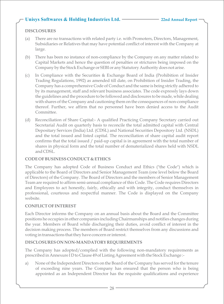#### **DISCLOSURES**

- (a) There are no transactions with related party i.e. with Promoters, Directors, Management, Subsidiaries or Relatives that may have potential conflict of interest with the Company at large.
- (b) There has been no instance of non-compliance by the Company on any matter related to Capital Markets and hence the question of penalties or strictures being imposed on the Company by the Stock Exchange or SEBI or any Statutory Authority does not arise.
- (c) In Compliance with the Securities & Exchange Board of India (Prohibition of Insider Trading Regulations, 1992) as amended till date, on Prohibition of Insider Trading, the Company has a comprehensive Code of Conduct and the same is being strictly adhered to by its management, staff and relevant business associates. The code expressly lays down the guidelines and the procedure to be followed and disclosures to be made, while dealing with shares of the Company and cautioning them on the consequences of non-compliance thereof. Further, we affirm that no personnel have been denied access to the Audit Committee.
- (d) Reconciliation of Share Capital:- A qualified Practicing Company Secretary carried out Secretarial Audit on quarterly basis to reconcile the total admitted capital with Central Depositary Services (India) Ltd. (CDSL) and National Securities Depository Ltd. (NSDL) and the total issued and listed capital. The reconciliation of share capital audit report confirms that the total issued / paid-up capital is in agreement with the total number of shares in physical form and the total number of dematerialized shares held with NSDL and CDSL.

#### **CODE OF BUSINESS CONDUCT & ETHICS**

The Company has adopted Code of Business Conduct and Ethics ("the Code") which is applicable to the Board of Directors and Senior Management Team (one level below the Board of Directors) of the Company. The Board of Directors and the members of Senior Management Team are required to affirm semi-annual compliance of this Code. The Code requires Directors and Employees to act honestly, fairly, ethically and with integrity, conduct themselves in professional, courteous and respectful manner. The Code is displayed on the Company website.

#### **CONFLICT OF INTEREST**

Each Director informs the Company on an annual basis about the Board and the Committee positions he occupies in other companies including Chairmanships and notifies changes during the year. Members of Board while discharging their duties, avoid conflict of interest in the decision making process. The members of Board restrict themselves from any discussions and voting in transactions that they have concern or interest.

#### **DISCLOSURES ON NON-MANDATORY REQUIREMENTS**

The Company has adopted/complied with the following non-mandatory requirements as prescribed in Annexure I D to Clause 49 of Listing Agreement with the Stock Exchange :-

a) None of the Independent Directors on the Board of the Company has served for the tenure of exceeding nine years. The Company has ensured that the person who is being appointed as an Independent Director has the requisite qualifications and experience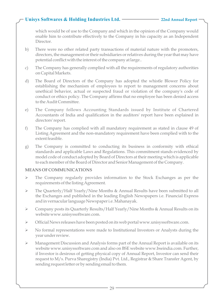which would be of use to the Company and which in the opinion of the Company would enable him to contribute effectively to the Company in his capacity as an Independent Director.

- b) There were no other related party transactions of material nature with the promoters, directors, the management or their subsidiaries or relatives during the year that may have potential conflict with the interest of the company at large..
- c) The Company has generally complied with all the requirements of regulatory authorities on Capital Markets.
- d) The Board of Directors of the Company has adopted the whistle Blower Policy for establishing the mechanism of employees to report to management concerns about unethical behavior, actual or suspected fraud or violation of the company's code of conduct or ethics policy. The Company affirms that no employee has been denied access to the Audit Committee.
- e) The Company follows Accounting Standards issued by Institute of Chartered Accountants of India and qualification in the auditors' report have been explained in directors' report.
- f) The Company has complied with all mandatory requirement as stated in clause 49 of Listing Agreement and the non-mandatory requirement have been complied with to the extent feasible.
- g) The Company is committed to conducting its business in conformity with ethical standards and applicable Laws and Regulations. This commitment stands evidenced by model code of conduct adopted by Board of Directors at their meeting which is applicable to each member of the Board of Director and Senior Management of the Company.

#### **MEANS OF COMMUNICATIONS**

- The Company regularly provides information to the Stock Exchanges as per the requirements of the listing Agreement.
- $\triangleright$  The Quarterly/Half Yearly/Nine Months & Annual Results have been submitted to all the Exchanges and published in the leading English Newspapers i.e. Financial Express and in vernacular language Newspaper i.e. Mahanayak.
- Company posts its Quarterly Results/Half Yearly/Nine Months & Annual Results on its website www.unisyssoftware.com.
- Official News releases have been posted on its web portal www.unisyssoftware.com.
- $\triangleright$  No formal representations were made to Institutional Investors or Analysts during the year under review.
- $\triangleright$  Management Discussion and Analysis forms part of the Annual Report is available on its website www.unisyssoftware.com and also on BSE website www.bseindia.com. Further, if Investor is desirous of getting physical copy of Annual Report, Investor can send their request to M/s. Purva Sharegistry (India) Pvt. Ltd., Registrar & Share Transfer Agent, by sending request letter or by sending email to them.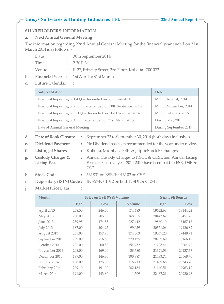#### **SHAREHOLDERS' INFORMATION**

#### **a. Next Annual General Meeting**

The information regarding 22nd Annual General Meeting for the financial year ended on 31st March 2014 is as follows :-

| Date  | $: 30th$ September 2014                               |
|-------|-------------------------------------------------------|
| Time  | $: 2.30$ P.M.                                         |
| Venue | : P-27, Princep Street, 3rd Floor, Kolkata - 700 072. |
|       |                                                       |

**b. Financial Year :** 1st April to 31st March.

**c. Future Calendar :**

| <b>Subject Matter</b>                                           | Date                  |
|-----------------------------------------------------------------|-----------------------|
| Financial Reporting of 1st Quarter ended on 30th June 2014      | Mid of August, 2014   |
| Financial Reporting of 2nd Quarter ended on 30th September 2014 | Mid of November, 2014 |
| Financial Reporting of 3rd Quarter ended on 31st December 2014  | Mid of February 2015  |
| Financial Reporting of 4th Quarter ended on 31st March 2015     | During May 2015       |
| Date of Annual General Meeting                                  | During September 2015 |

- **d. Date of Book Closure :** September 23 to September 30, 2014 (both days inclusive)
- **e. Dividend Payment :** No Dividend has been recommended for the year under review.
- **f. Listing of Shares :** Kolkata, Mumbai, Delhi & Jaipur Stock Exchanges.
- **g. Custody Charges & :** Annual Custody Charges to NSDL & CDSL and Annual Listing Fees for Financial year 2014-2015 have been paid to BSE, DSE & CSE.
- **h. Stock Code :** 531831 on BSE, 10013102 on CSE
- **i. Depositary (ISIN) Code :** INE574C01012 on both NSDL & CDSL.
- **j. Market Price Data :**

| Month            |        | Price on BSE (₹) & Volume |         |          | <b>S&amp;P BSE Sensex</b> |  |
|------------------|--------|---------------------------|---------|----------|---------------------------|--|
|                  | High   | Low                       | Volume  | High     | Low                       |  |
| April 2013       | 258.50 | 246.50                    | 574,483 | 19622.68 | 18144.22                  |  |
| May 2013         | 260.00 | 205.55                    | 168,855 | 20443.62 | 19451.26                  |  |
| <b>June 2013</b> | 259.95 | 174.55                    | 227,442 | 19860.19 | 18467.16                  |  |
| <b>July 2013</b> | 187.00 | 104.95                    | 99,059  | 20351.06 | 19126.82                  |  |
| August 2013      | 235.00 | 157.95                    | 174,563 | 19569.20 | 17448.71                  |  |
| September 2013   | 239.00 | 216.60                    | 379,435 | 20739.69 | 18166.17                  |  |
| October 2013     | 222.00 | 200.80                    | 154,752 | 21205.44 | 19264.72                  |  |
| November 2013    | 208.00 | 169.00                    | 88,780  | 21321.53 | 20137.67                  |  |
| December 2013    | 189.00 | 146.80                    | 190,887 | 21483.74 | 20568.70                  |  |
| January 2014     | 198.00 | 175.00                    | 116,213 | 21409.66 | 20343.78                  |  |
| February 2014    | 209.10 | 191.00                    | 282,134 | 21140.51 | 19963.12                  |  |
| March 2014       | 191.00 | 143.60                    | 11,509  | 22467.21 | 20920.98                  |  |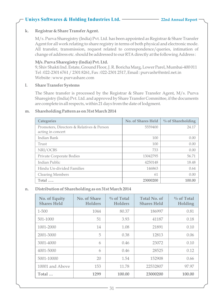#### **k. Registrar & Share Transfer Agent.**

M/s. Purva Sharegistry (India) Pvt. Ltd. has been appointed as Registrar & Share Transfer Agent for all work relating to share registry in terms of both physical and electronic mode. All transfer, transmission, request related to correspondence/queries, intimation of change of address etc. should be addressed to our RTA directly at the following Address :

#### **M/s. Purva Sharegistry (India) Pvt. Ltd.**

9, Shiv Shakti Ind. Estate, Ground Floor, J. R. Boricha Marg, Lower Parel, Mumbai-400 011 Tel : 022-2301 6761 / 2301 8261, Fax : 022-2301 2517, Email : purvashr@mtnl.net.in Website : www.purvashare.com

#### **l. Share Transfer Systems**

The Share transfer is processed by the Registrar & Share Transfer Agent, M/s. Purva Sharegistry (India) Pvt. Ltd. and approved by Share Transfer Committee, if the documents are complete in all respects, within 21 days from the date of lodgment.

#### **m. Shareholding Pattern as on 31st March 2014**

| <b>Categories</b>                         | No. of Shares Held | % of Shareholding |
|-------------------------------------------|--------------------|-------------------|
| Promoters, Directors & Relatives & Person | 5559400            | 24.17             |
| acting in concert                         |                    |                   |
| Indian Bank                               | 100                | 0.00              |
| Trust                                     | 100                | 0.00              |
| NRI/OCBS                                  | 733                | 0.00              |
| Private Corporate Bodies                  | 13042795           | 56.71             |
| <b>Indian Public</b>                      | 4250148            | 18.48             |
| Hindu Un-divided Families                 | 146863             | 0.64              |
| <b>Clearing Members</b>                   | 61                 | 0.00              |
| Total                                     | 23000200           | 100.00            |

#### **n. Distribution of Shareholding as on 31st March 2014**

| No. of Equity<br><b>Shares Held</b> | No. of Share<br><b>Holders</b> | $\%$ of Total<br><b>Holders</b> | Total No. of<br><b>Shares Held</b> | $\%$ of Total<br>Holding |
|-------------------------------------|--------------------------------|---------------------------------|------------------------------------|--------------------------|
| $1 - 500$                           | 1044                           | 80.37                           | 186997                             | 0.81                     |
| 501-1000                            | 51                             | 3.93                            | 41187                              | 0.18                     |
| 1001-2000                           | 14                             | 1.08                            | 21891                              | 0.10                     |
| 2001-3000                           | 5                              | 0.38                            | 12813                              | 0.06                     |
| 3001-4000                           | 6                              | 0.46                            | 23072                              | 0.10                     |
| 4001-5000                           | 6                              | 0.46                            | 28525                              | 0.12                     |
| 5001-10000                          | 20                             | 1.54                            | 152908                             | 0.66                     |
| 10001 and Above                     | 153                            | 11.78                           | 22532807                           | 97.97                    |
| Total                               | 1299                           | 100.00                          | 23000200                           | 100.00                   |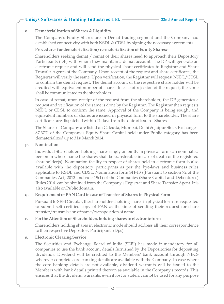#### **o. Dematerialization of Shares & Liquidity**

The Company's Equity Shares are in Demat trading segment and the Company had established connectivity with both NSDL & CDSL by signing the necessary agreements.

#### **Procedures for dematerialization / re-materialization of Equity Shares:-**

Shareholders seeking demat / remat of their shares need to approach their Depository Participants (DP) with whom they maintain a demat account. The DP will generate an electronic request and will send the physical share certificates to Registrar and Share Transfer Agents of the Company. Upon receipt of the request and share certificates, the Registrar will verify the same. Upon verification, the Registrar will request NSDL/CDSL to confirm the demat request. The demat account of the respective share holder will be credited with equivalent number of shares. In case of rejection of the request, the same shall be communicated to the shareholder.

In case of remat, upon receipt of the request from the shareholder, the DP generates a request and verification of the same is done by the Registrar. The Registrar then requests NSDL or CDSL to confirm the same. Approval of the Company is being sought and equivalent numbers of shares are issued in physical form to the shareholder. The share certificates are dispatched within 21 days from the date of issue of Shares.

The Shares of Company are listed on Calcutta, Mumbai, Delhi & Jaipur Stock Exchanges. 87.37% of the Company's Equity Share Capital held under Public category has been dematerialized up to 31st March 2014.

#### **p. Nomination**

Individual Shareholders holding shares singly or jointly in physical form can nominate a person in whose name the shares shall be transferable in case of death of the registered shareholder(s). Nomination facility in respect of shares held in electronic form is also available with the depository participants as per the bye-laws and business rules applicable to NSDL and CDSL. Nomination form SH-13 ([Pursuant to section 72 of the Companies Act, 2013 and rule 19(1) of the Companies (Share Capital and Debentures) Rules 2014] can be obtained from the Company's Registrar and Share Transfer Agent. It is also available on Public domain.

#### **q. Requirement of PAN Card in case of Transfer of Shares in Physical Form**

Pursuant to SEBI Circular, the shareholders holding shares in physical form are requested to submit self certified copy of PAN at the time of sending their request for share transfer/transmission of name/transposition of name.

#### **r. For the Attention of Shareholders holding shares in electronic form**

Shareholders holding shares in electronic mode should address all their correspondence to their respective Depository Participants (Dps).

#### **s. Electronic Clearing Service**

The Securities and Exchange Board of India (SEBI) has made it mandatory for all companies to use the bank account details furnished by the Depositories for depositing dividends. Dividend will be credited to the Members' bank account through NECS wherever complete core banking details are available with the Company. In case where the core banking details are not available, dividend warrants will be issued to the Members with bank details printed thereon as available in the Company's records. This ensures that the dividend warrants, even if lost or stolen, cannot be used for any purpose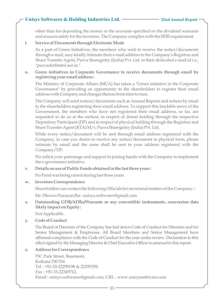other than for depositing the money in the accounts specified on the dividend warrants and ensures safety for the investors. The Company complies with the SEBI requirement.

#### **t. Service of Documents through Electronic Mode**

As a part of Green Initiatives, the members who wish to receive the notice/documents through e-mail, may kindly intimate their e-mail address to the Company's Registrar and Share Transfer Agent, Purva Sharegistry (India) Pvt. Ltd. to their dedicated e-mail id i.e., "purvashr@mtnl.net.in."

#### **u. Green initiatives in Corporate Governance to receive documents through email by registering your email address :**

The Ministry of Corporate Affairs (MCA) has taken a "Green initiative in the Corporate Governance" by providing an opportunity to the shareholders to register their email address with Company and changes therein from time to time.

The Company will send notices/documents such as Annual Reports and notices by email to the shareholders registering their email address. To support this laudable move of the Government, the members who have not registered their email address, so far, are requested to do so at the earliest, in respect of demat holding through the respective Depository Participant (DP) and in respect of physical holding through the Registrar and Share Transfer Agent (RTA) M/s. Purva Sharegistry (India) Pvt. Ltd.

While every notice/document will be sent through email address registered with the Company, in case you desire to receive any notice/document in physical form, please intimate by email and the same shall be sent to your address registered with the Company/DP.

We solicit your patronage and support in joining hands with the Company to implement the e-governance initiative.

#### **v. Details on use of Public Funds obtained in the last three years :**

No Fund was being raised during last three years.

**w. Investors Correspondence**

Shareholders can contact the following Officials for secretarial matters of the Company :-

Mr. Dhruva Narayan Jha - unisys.softwares@gmail.com

**x. Outstanding GDR/ADRs/Warrants or any convertible instruments, conversion data likely impact on Equity :**

Not Applicable.

#### **y. Code of Conduct**

The Board of Directors of the Company has laid down Code of Conduct for Directors and for Senior Management & Employees. All Board Members and Senior Management have affirmed compliance with the Code of Conduct for the year under review. Declaration to this effect signed by the Managing Director & Chief Executive Officer is annexed to this report.

#### **z. Address for Correspondence**

75C Park Street, Basement, Kolkata-700 016 Tel : +91-33-22299198 & 22295359; Fax : +91-33-22349712, Email : unisys.softwares@gmail.com; URL : www.unisyssoftware.com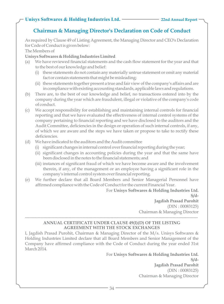#### **Chairman & Managing Director's Declaration on Code of Conduct**

As required by Clause 49 of Listing Agreement, the Managing Director and CEO's Declaration for Code of Conduct is given below:

The Members of

#### **Unisys Softwares & Holding Industries Limited**

- (a) We have reviewed financial statements and the cash flow statement for the year and that to the best of our knowledge and belief:
	- (i) these statements do not contain any materially untrue statement or omit any material fact or contain statements that might be misleading;
	- (ii) these statements together present a true and fair view of the company's affairs and are in compliance with existing accounting standards, applicable laws and regulations.
- (b) There are, to the best of our knowledge and belief, no transactions entered into by the company during the year which are fraudulent, illegal or violative of the company's code of conduct.
- (c) We accept responsibility for establishing and maintaining internal controls for financial reporting and that we have evaluated the effectiveness of internal control systems of the company pertaining to financial reporting and we have disclosed to the auditors and the Audit Committee, deficiencies in the design or operation of such internal controls, if any, of which we are aware and the steps we have taken or propose to take to rectify these deficiencies.
- (d) We have indicated to the auditors and the Audit committee
	- (i) significant changes in internal control over financial reporting during the year;
	- (ii) significant changes in accounting policies during the year and that the same have been disclosed in the notes to the financial statements; and
	- (iii) instances of significant fraud of which we have become aware and the involvement therein, if any, of the management or an employee having a significant role in the company's internal control system over financial reporting.
- (e) We further declare that all Board Members and Senior Managerial Personnel have affirmed compliance with the Code of Conduct for the current Financial Year.

For **Unisys Softwares & Holding Industries Ltd. S/d-Jagdish Prasad Purohit** (DIN : 00083125) Chairman & Managing Director

#### --------------------------------------------------------------------------------------------------------------------------- **ANNUAL CERTIFICATE UNDER CLAUSE 49(I)(D) OF THE LISTING AGREEMENT WITH THE STOCK EXCHANGES**

I, Jagdish Prasad Purohit, Chairman & Managing Director of the M/s. Unisys Softwares & Holding Industries Limited declare that all Board Members and Senior Management of the Company have affirmed compliance with the Code of Conduct during the year ended 31st March 2014.

> For **Unisys Softwares & Holding Industries Ltd. S/d-Jagdish Prasad Purohit** (DIN : 00083125) Chairman & Managing Director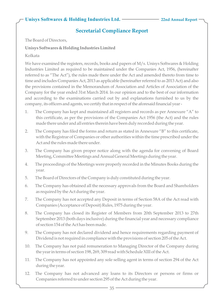#### **Secretarial Compliance Report**

The Board of Directors,

**Unisys Softwares & Holding Industries Limited**

Kolkata

We have examined the registers, records, books and papers of M/s. Unisys Softwares & Holding Industries Limited as required to be maintained under the Companies Act, 1956, (hereinafter referred to as "The Act"), the rules made there under the Act and amended thereto from time to time and includes Companies Act, 2013 as applicable (hereinafter referred to as 2013 Act) and also the provisions contained in the Memorandum of Association and Articles of Association of the Company for the year ended 31st March 2014. In our opinion and to the best of our information and according to the examinations carried out by and explanations furnished to us by the company, its officers and agents, we certify that in respect of the aforesaid financial year -

- 1. The Company has kept and maintained all registers and records as per Annexure "A" to this certificate, as per the provisions of the Companies Act 1956 (the Act) and the rules made there under and all entries therein have been duly recorded during the year.
- 2. The Company has filed the forms and return as stated in Annexure "B" to this certificate, with the Registrar of Companies or other authorities within the time prescribed under the Act and the rules made there under.
- 3. The Company has given proper notice along with the agenda for convening of Board Meeting, Committee Meetings and Annual General Meetings during the year.
- 4. The proceedings of the Meetings were properly recorded in the Minutes Books during the year.
- 5. The Board of Directors of the Company is duly constituted during the year.
- 6. The Company has obtained all the necessary approvals from the Board and Shareholders as required by the Act during the year.
- 7. The Company has not accepted any Deposit in terms of Section 58A of the Act read with Companies (Acceptance of Deposit) Rules, 1975 during the year.
- 8. The Company has closed its Register of Members from 20th September 2013 to 27th September 2013 (both days inclusive) during the financial year and necessary compliance of section 154 of the Act has been made.
- 9. The Company has not declared dividend and hence requirements regarding payment of Dividend is not required in compliance with the provisions of section 205 of the Act.
- 10. The Company has not paid remuneration to Managing Director of the Company during the year in terms of section 198, 269, 309 read with Schedule XIII of the Act.
- 11. The Company has not appointed any sole selling agent in terms of section 294 of the Act during the year.
- 12. The Company has not advanced any loans to its Directors or persons or firms or Companies referred to under section 295 of the Act during the year.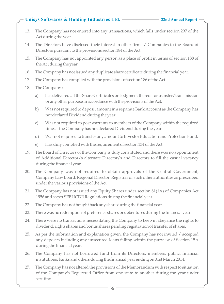- 13. The Company has not entered into any transactions, which falls under section 297 of the Act during the year.
- 14. The Directors have disclosed their interest in other firms / Companies to the Board of Directors pursuant to the provisions section 184 of the Act.
- 15. The Company has not appointed any person as a place of profit in terms of section 188 of the Act during the year.
- 16. The Company has not issued any duplicate share certificate during the financial year.
- 17. The Company has complied with the provisions of section 186 of the Act.

#### 18. The Company :

- a) has delivered all the Share Certificates on lodgment thereof for transfer/transmission or any other purpose in accordance with the provisions of the Act;
- b) Was not required to deposit amount in a separate Bank Account as the Company has not declared Dividend during the year.
- c) Was not required to post warrants to members of the Company within the required time as the Company has not declared Dividend during the year.
- d) Was not required to transfer any amount to Investor Education and Protection Fund.
- e) Has duly complied with the requirement of section 134 of the Act.
- 19. The Board of Directors of the Company is duly constituted and there was no appointment of Additional Director/s alternate Director/s and Directors to fill the casual vacancy during the financial year.
- 20. The Company was not required to obtain approvals of the Central Government, Company Law Board, Regional Director, Registrar or such other authorities as prescribed under the various provisions of the Act.
- 21. The Company has not issued any Equity Shares under section 81(1A) of Companies Act 1956 and as per SEBI ICDR Regulations during the financial year.
- 22. The Company has not bought back any share during the financial year.
- 23. There was no redemption of preference shares or debentures during the financial year.
- 24. There were no transactions necessitating the Company to keep in abeyance the rights to dividend, rights shares and bonus shares pending registration of transfer of shares.
- 25. As per the information and explanation given, the Company has not invited / accepted any deposits including any unsecured loans falling within the purview of Section 15A during the financial year.
- 26. The Company has not borrowed fund from its Directors, members, public, financial institutions, banks and others during the financial year ending on 31st March 2014.
- 27. The Company has not altered the provisions of the Memorandum with respect to situation of the Company's Registered Office from one state to another during the year under scrutiny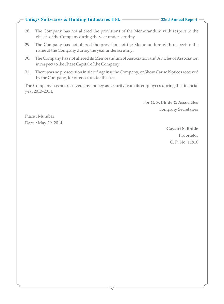- 28. The Company has not altered the provisions of the Memorandum with respect to the objects of the Company during the year under scrutiny.
- 29. The Company has not altered the provisions of the Memorandum with respect to the name of the Company during the year under scrutiny.
- 30. The Company has not altered its Memorandum of Association and Articles of Association in respect to the Share Capital of the Company.
- 31. There was no prosecution initiated against the Company, or Show Cause Notices received by the Company, for offences under the Act.

The Company has not received any money as security from its employees during the financial year 2013-2014.

> For **G. S. Bhide & Associates** Company Secretaries

Place : Mumbai Date : May 29, 2014

> **Gayatri S. Bhide** Proprietor C. P. No. 11816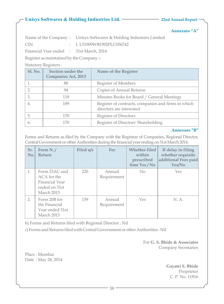#### **Annexure "A"**

Name of the Company : Unisys Softwares & Holding Industries Limited

CIN : L L51909WB1992PLC056742

Financial Year ended : 31st March, 2014

Register as maintained by the Company :-

Statutory Registers :

| <b>Sl. No.</b> | Section under the<br><b>Companies Act, 2013</b> | Name of the Register                                                            |
|----------------|-------------------------------------------------|---------------------------------------------------------------------------------|
|                | 88                                              | <b>Register of Members</b>                                                      |
|                | 94                                              | Copies of Annual Returns                                                        |
| 3.             | 118                                             | Minutes Books for Board / General Meetings                                      |
| 4.             | 189                                             | Register of contracts, companies and firms in which<br>directors are interested |
| 5.             | 170                                             | Register of Directors                                                           |
| $\theta$ .     | 170                                             | Register of Directors' Shareholding                                             |

#### **Annexure "B"**

Forms and Returns as filed by the Company with the Registrar of Companies, Regional Director, Central Government or other Authorities during the financial year ending on 31st March 2014.

| Sr.<br>No. | Form $N$ ./<br><b>Return</b>                                                  | Filed u/s | For                   | Whether filed<br>within<br>prescribed<br>time Yes / No | If delay in filing<br>whether requisite<br>additional Fees paid<br>Yes/No |
|------------|-------------------------------------------------------------------------------|-----------|-----------------------|--------------------------------------------------------|---------------------------------------------------------------------------|
| 1.         | Form 23AC and<br>ACA for the<br>Financial Year<br>ended on 31st<br>March 2013 | 220       | Annual<br>Requirement | No                                                     | Yes                                                                       |
| 2.         | Form 20B for<br>the Financial<br>Year ended 31st<br>March 2013                | 159       | Annual<br>Requirement | Yes                                                    | N. A.                                                                     |

b) Forms and Returns filed with Regional Director : Nil

c) Forms and Returns filed with Central Government or other Authorities : Nil

For **G. S. Bhide & Associates** Company Secretaries

Place : Mumbai Date : May 28, 2014

> **Gayatri S. Bhide** Proprietor C. P. No. 11816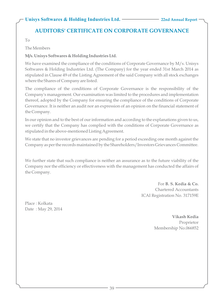#### **AUDITORS' CERTIFICATE ON CORPORATE GOVERNANCE**

To

The Members

#### **M/s. Unisys Softwares & Holding Industries Ltd.**

We have examined the compliance of the conditions of Corporate Governance by M/s. Unisys Softwares & Holding Industries Ltd. (The Company) for the year ended 31st March 2014 as stipulated in Clause 49 of the Listing Agreement of the said Company with all stock exchanges where the Shares of Company are listed.

The compliance of the conditions of Corporate Governance is the responsibility of the Company's management. Our examination was limited to the procedures and implementation thereof, adopted by the Company for ensuring the compliance of the conditions of Corporate Governance. It is neither an audit nor an expression of an opinion on the financial statement of the Company.

In our opinion and to the best of our information and according to the explanations given to us, we certify that the Company has complied with the conditions of Corporate Governance as stipulated in the above-mentioned Listing Agreement.

We state that no investor grievances are pending for a period exceeding one month against the Company as per the records maintained by the Shareholders/Investors Grievances Committee.

We further state that such compliance is neither an assurance as to the future viability of the Company nor the efficiency or effectiveness with the management has conducted the affairs of the Company.

> For **B. S. Kedia & Co.** Chartered Accountants ICAI Registration No. 317159E

Place : Kolkata Date : May 29, 2014

> **Vikash Kedia** Proprietor Membership No.066852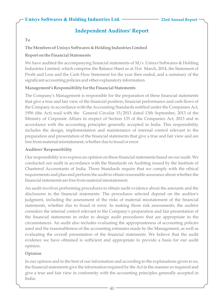#### **Independent Auditors' Report**

#### **To**

#### **The Members of Unisys Softwares & Holding Industries Limited**

#### **Report on the Financial Statements**

We have audited the accompanying financial statements of M/s. Unisys Softwares & Holding Industries Limited, which comprise the Balance Sheet as at 31st March, 2014, the Statement of Profit and Loss and the Cash Flow Statement for the year then ended, and a summary of the significant accounting policies and other explanatory information.

#### **Management's Responsibility for the Financial Statements**

The Company's Management is responsible for the preparation of these financial statements that give a true and fair view of the financial position, financial performance and cash flows of the Company in accordance with the Accounting Standards notified under the Companies Act, 1956 (the Act) read with the General Circular 15/2013 dated 13th September, 2013 of the Ministry of Corporate Affairs in respect of Section 133 of the Companies Act, 2013 and in accordance with the accounting principles generally accepted in India. This responsibility includes the design, implementation and maintenance of internal control relevant to the preparation and presentation of the financial statements that give a true and fair view and are free from material misstatement, whether due to fraud or error.

#### **Auditors' Responsibility**

Our responsibility is to express an opinion on these financial statements based on our audit. We conducted our audit in accordance with the Standards on Auditing issued by the Institute of Chartered Accountants of India. Those Standards require that we comply with the ethical requirements and plan and perform the audit to obtain reasonable assurance about whether the financial statements are free from material misstatement.

An audit involves performing procedures to obtain audit evidence about the amounts and the disclosures in the financial statements. The procedures selected depend on the auditor's judgment, including the assessment of the risks of material misstatement of the financial statements, whether due to fraud or error. In making those risk assessments, the auditor considers the internal control relevant to the Company's preparation and fair presentation of the financial statements in order to design audit procedures that are appropriate in the circumstances. An audit also includes evaluating the appropriateness of accounting policies used and the reasonableness of the accounting estimates made by the Management, as well as evaluating the overall presentation of the financial statements. We believe that the audit evidence we have obtained is sufficient and appropriate to provide a basis for our audit opinion.

#### **Opinion**

In our opinion and to the best of our information and according to the explanations given to us, the financial statements give the information required by the Act in the manner so required and give a true and fair view in conformity with the accounting principles generally accepted in India: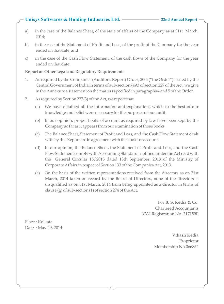- a) in the case of the Balance Sheet, of the state of affairs of the Company as at 31st March, 2014;
- b) in the case of the Statement of Profit and Loss, of the profit of the Company for the year ended on that date, and
- c) in the case of the Cash Flow Statement, of the cash flows of the Company for the year ended on that date.

#### **Report on Other Legal and Regulatory Requirements**

- 1. As required by the Companies (Auditor's Report) Order, 2003("the Order") issued by the Central Government of India in terms of sub-section (4A) of section 227 of the Act, we give in the Annexure a statement on the matters specified in paragraphs 4 and 5 of the Order.
- 2. As required by Section 227(3) of the Act, we report that:
	- (a) We have obtained all the information and explanations which to the best of our knowledge and belief were necessary for the purposes of our audit.
	- (b) In our opinion, proper books of account as required by law have been kept by the Company so far as it appears from our examination of those books.
	- (c) The Balance Sheet, Statement of Profit and Loss, and the Cash Flow Statement dealt with by this Report are in agreement with the books of account.
	- (d) In our opinion, the Balance Sheet, the Statement of Profit and Loss, and the Cash Flow Statement comply with Accounting Standards notified under the Act read with the General Circular 15/2013 dated 13th September, 2013 of the Ministry of Corporate Affairs in respect of Section 133 of the Companies Act, 2013.
	- (e) On the basis of the written representations received from the directors as on 31st March, 2014 taken on record by the Board of Directors, none of the directors is disqualified as on 31st March, 2014 from being appointed as a director in terms of clause (g) of sub-section (1) of section 274 of the Act.

For **B. S. Kedia & Co.** Chartered Accountants ICAI Registration No. 317159E

Place : Kolkata Date : May 29, 2014

> **Vikash Kedia** Proprietor Membership No.066852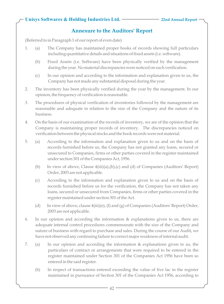#### **Annexure to the Auditors' Report**

(Referred to in Paragraph 1 of our report of even date)

- 1. (a) The Company has maintained proper books of records showing full particulars including quantitative details and situations of fixed assets (i.e. software).
	- (b) Fixed Assets (i.e. Software) have been physically verified by the management during the year. No material discrepancies were noticed on such verification.
	- (c) In our opinion and according to the information and explanation given to us, the Company has not made any substantial disposal during the year.
- 2. The inventory has been physically verified during the year by the management. In our opinion, the frequency of verification is reasonable.
- 3. The procedures of physical verification of inventories followed by the management are reasonable and adequate in relation to the size of the Company and the nature of its business.
- 4. On the basis of our examination of the records of inventory, we are of the opinion that the Company is maintaining proper records of inventory. The discrepancies noticed on verification between the physical stocks and the book records were not material.
- 5. (a) According to the information and explanation given to us and on the basis of records furnished before us, the Company has not granted any loans, secured or unsecured to Companies, firms or other parties covered in the register maintained under section 301 of the Companies Act, 1956.
	- (b) In view of above, Clause 4(iii)(a),(b),(c) and (d) of Companies (Auditors' Report) Order, 2003 are not applicable.
	- (c) According to the information and explanation given to us and on the basis of records furnished before us for the verification, the Company has not taken any loans, secured or unsecured from Companies, firms or other parties covered in the register maintained under section 301 of the Act.
	- (d) In view of above, clause 4(iii)(e), (f) and (g) of Companies (Auditors' Report) Order, 2003 are not applicable.
- 6. In our opinion and according the information & explanations given to us, there are adequate internal control procedures commensurate with the size of the Company and nature of business with regard to purchase and sales. During the course of our Audit, we have not observed any continuing failure to correct major weakness of internal audit.
- 7. (a) In our opinion and according the information & explanations given to us, the particulars of contract or arrangements that were required to be entered in the register maintained under Section 301 of the Companies Act 1956 have been so entered in the said register.
	- (b) In respect of transactions entered exceeding the value of five lac in the register maintained in pursuance of Section 301 of the Companies Act 1956, according to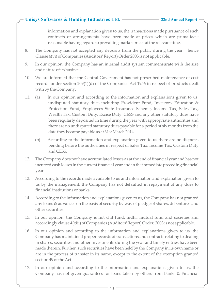information and explanation given to us, the transactions made pursuance of such contracts or arrangements have been made at prices which are prima-facie reasonable having regard to prevailing market prices at the relevant time.

- 8. The Company has not accepted any deposits from the public during the year hence Clause 4(vi) of Companies (Auditors' Report) Order 2003 is not applicable.
- 9. In our opinion, the Company has an internal audit system commensurate with the size and nature of its business.
- 10. We are informed that the Central Government has not prescribed maintenance of cost records under section 209(1)(d) of the Companies Act 1956 in respect of products dealt with by the Company.
- 11. (a) In our opinion and according to the information and explanations given to us, undisputed statutory dues including Provident Fund, Investors' Education & Protection Fund, Employees State Insurance Scheme, Income Tax, Sales Tax, Wealth Tax, Custom Duty, Excise Duty, CESS and any other statutory dues have been regularly deposited in time during the year with appropriate authorities and there are no undisputed statutory dues payable for a period of six months from the date they became payable as at 31st March 2014.
	- (b) According to the information and explanation given to us there are no disputes pending before the authorities in respect of Sales Tax, Income Tax, Custom Duty and CESS.
- 12. The Company does not have accumulated losses as at the end of financial year and has not incurred cash losses in the current financial year and in the immediate preceding financial year.
- 13. According to the records made available to us and information and explanation given to us by the management, the Company has not defaulted in repayment of any dues to financial institutions or banks.
- 14. According to the information and explanations given to us, the Company has not granted any loans & advances on the basis of security by way of pledge of shares, debentures and other securities.
- 15. In our opinion, the Company is not chit fund, nidhi, mutual fund and societies and accordingly clause 4(xiii) of Companies (Auditors' Report) Order, 2003 is not applicable.
- 16. In our opinion and according to the information and explanations given to us, the Company has maintained proper records of transactions and contracts relating to dealing in shares, securities and other investments during the year and timely entries have been made therein. Further, such securities have been held by the Company in its own name or are in the process of transfer in its name, except to the extent of the exemption granted section 49 of the Act.
- 17. In our opinion and according to the information and explanations given to us, the Company has not given guarantees for loans taken by others from Banks & Financial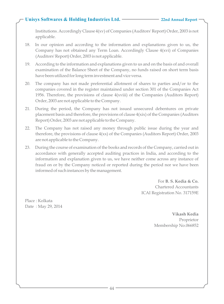Institutions. Accordingly Clause 4(xv) of Companies (Auditors' Report) Order, 2003 is not applicable.

- 18. In our opinion and according to the information and explanations given to us, the Company has not obtained any Term Loan. Accordingly Clause 4(xvi) of Companies (Auditors' Report) Order, 2003 is not applicable.
- 19. According to the information and explanations given to us and on the basis of and overall examination of the Balance Sheet of the Company, no funds raised on short term basis have been utilized for long term investment and vice versa.
- 20. The company has not made preferential allotment of shares to parties and/or to the companies covered in the register maintained under section 301 of the Companies Act 1956. Therefore, the provisions of clause 4(xviii) of the Companies (Auditors Report) Order, 2003 are not applicable to the Company.
- 21. During the period, the Company has not issued unsecured debentures on private placement basis and therefore, the provisions of clause 4(xix) of the Companies (Auditors Report) Order, 2003 are not applicable to the Company.
- 22. The Company has not raised any money through public issue during the year and therefore, the provisions of clause  $4(xx)$  of the Companies (Auditors Report) Order, 2003 are not applicable to the Company.
- 23. During the course of examination of the books and records of the Company, carried out in accordance with generally accepted auditing practices in India, and according to the information and explanation given to us, we have neither come across any instance of fraud on or by the Company noticed or reported during the period nor we have been informed of such instances by the management.

For **B. S. Kedia & Co.** Chartered Accountants ICAI Registration No. 317159E

Place : Kolkata Date : May 29, 2014

> **Vikash Kedia** Proprietor Membership No.066852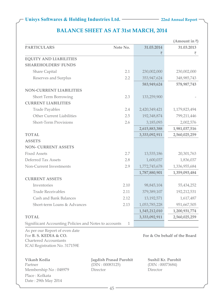#### **BALANCE SHEET AS AT 31st MARCH, 2014**

|                                                                                                                          |                                                             |                                                   | (Amount in $\bar{z}$ )       |
|--------------------------------------------------------------------------------------------------------------------------|-------------------------------------------------------------|---------------------------------------------------|------------------------------|
| <b>PARTICULARS</b>                                                                                                       | Note No.                                                    | 31.03.2014                                        | 31.03.2013                   |
|                                                                                                                          |                                                             | ₹                                                 | ₹                            |
| <b>EQUITY AND LIABILITIES</b>                                                                                            |                                                             |                                                   |                              |
| <b>SHAREHOLDERS' FUNDS</b>                                                                                               |                                                             |                                                   |                              |
| Share Capital                                                                                                            | 2.1                                                         | 230,002,000                                       | 230,002,000                  |
| Reserves and Surplus                                                                                                     | 2.2                                                         | 353,947,624                                       | 348,985,743                  |
|                                                                                                                          |                                                             | 583,949,624                                       | 578,987,743                  |
| <b>NON-CURRENT LIABILITIES</b>                                                                                           |                                                             |                                                   |                              |
| Short Term Borrowing                                                                                                     | 2.3                                                         | 133,259,900                                       |                              |
| <b>CURRENT LIABILITIES</b>                                                                                               |                                                             |                                                   |                              |
| <b>Trade Payables</b>                                                                                                    | 2.4                                                         | 2,420,349,421                                     | 1,179,823,494                |
| Other Current Liabilities                                                                                                | 2.5                                                         | 192,348,874                                       | 799,211,446                  |
| <b>Short-Term Provisions</b>                                                                                             | 2.6                                                         | 3,185,093                                         | 2,002,576                    |
|                                                                                                                          |                                                             | 2,615,883,388                                     | 1,981,037,516                |
| <b>TOTAL</b>                                                                                                             |                                                             | 3,333,092,911                                     | 2,560,025,259                |
| <b>ASSETS</b>                                                                                                            |                                                             |                                                   |                              |
| <b>NON- CURRENT ASSETS</b>                                                                                               |                                                             |                                                   |                              |
| <b>Fixed Assets</b>                                                                                                      | 2.7                                                         | 13,535,186                                        | 20,301,763                   |
| Deferred Tax Assets                                                                                                      | 2.8                                                         | 1,600,037                                         | 1,836,037                    |
| Non-Current Investments                                                                                                  | 2.9                                                         | 1,772,745,678                                     | 1,336,955,684                |
|                                                                                                                          |                                                             | 1,787,880,901                                     | 1,359,093,484                |
| <b>CURRENT ASSETS</b>                                                                                                    |                                                             |                                                   |                              |
| Inventories                                                                                                              | 2.10                                                        | 98,845,104                                        | 55,434,252                   |
| <b>Trade Receivables</b>                                                                                                 | 2.11                                                        | 379,389,107                                       | 192,212,531                  |
| Cash and Bank Balances                                                                                                   | 2.12                                                        | 13,192,571                                        | 1,617,487                    |
| Short-term Loans & Advances                                                                                              | 2.13                                                        | 1,053,785,228                                     | 951,667,505                  |
|                                                                                                                          |                                                             | 1,545,212,010                                     | 1,200,931,774                |
| <b>TOTAL</b>                                                                                                             |                                                             | 3,333,092,911                                     | 2,560,025,259                |
| Signifiicant Accounting Policies and Notes to accounts                                                                   | 1                                                           |                                                   |                              |
| As per our Report of even date<br>For B. S. KEDIA & CO.<br><b>Chartered Accountants</b><br>ICAI Registration No. 317159E |                                                             |                                                   | For & On behalf of the Board |
| Vikash Kedia<br>Partner<br>Membership No: 048979<br>Place: Kolkata                                                       | <b>Jagdish Prasad Purohit</b><br>(DIN:00083125)<br>Director | Sushil Kr. Purohit<br>(DIN: 00073684)<br>Director |                              |

Date : 29th May 2014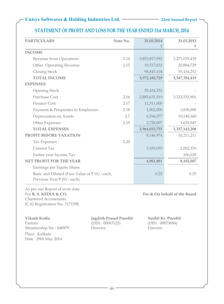#### **STATEMENT OF PROFIT AND LOSS FOR THE YEAR ENDED 31st MARCH, 2014**

| <b>PARTICULARS</b>                                                        | Note No. | 31.03.2014    | 31.03.2013    |
|---------------------------------------------------------------------------|----------|---------------|---------------|
|                                                                           |          | ₹             | ₹             |
| <b>INCOME</b>                                                             |          |               |               |
| Revenue from Operations                                                   | 2.14     | 3,853,817,992 | 3,271,035,439 |
| Other Operating Revenue                                                   | 2.15     | 19,517,633    | 20,884,729    |
| Closing Stock                                                             |          | 98,845,104    | 55,434,252    |
| <b>TOTAL INCOME</b>                                                       |          | 3,972,180,729 | 3,347,354,419 |
| <b>EXPENSES</b>                                                           |          |               |               |
| <b>Opening Stock</b>                                                      |          | 55,434,252    |               |
| Purchase Cost                                                             | 2.16     | 3,885,631,919 | 3,323,533,901 |
| Finance Cost                                                              | 2.17     | 11,511,000    |               |
| Payment & Perquisites to Employees                                        | 2.18     | 1,962,000     | 1,830,000     |
| Depreciation on Assets                                                    | 2.7      | 6,766,577     | 10,149,360    |
| Other Expenses                                                            | 2.19     | 2,728,007     | 1,629,947     |
| <b>TOTAL EXPENSES</b>                                                     |          | 3,964,033,755 | 3,337,143,208 |
| <b>PROFIT BEFORE TAXATION</b>                                             |          | 8,146,974     | 10,211,211    |
| Tax Expenses :                                                            | 2.20     |               |               |
| Current Tax                                                               |          | 3,185,093     | 2,002,576     |
| Earlier year Income Tax                                                   |          |               | 106,628       |
| <b>NET PROFIT FOR THE YEAR</b>                                            |          | 4,961,881     | 8,102,007     |
| Earnings per Equity Share:                                                |          |               |               |
| Basic and Diluted (Face Value of ₹10/-each,<br>Previous Year ₹ 10/- each) |          | 0.22          | 0.35          |

As per our Report of even date<br>For **B**. **S. KEDIA & CO.** Chartered Accountants ICAI Registration No. 317159E

For & On behalf of the Board

**Vikash Kedia Jagdish Prasad Purohit Sushil Kr. Purohit** Partner (DIN : 00083125) (DIN : 00073684) Membership No : 048979 Director Director Place : Kolkata Date : 29th May 2014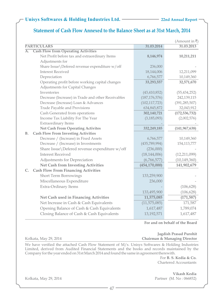#### **Statement of Cash Flow Annexed to the Balance Sheet as at 31st March, 2014**

|                  |                                                    |                 | $(A$ mount in ₹) |
|------------------|----------------------------------------------------|-----------------|------------------|
|                  | <b>PARTICULARS</b>                                 | 31.03.2014      | 31.03.2013       |
| $\overline{A}$ . | <b>Cash Flow from Operating Activities</b>         |                 |                  |
|                  | Net Profit before tax and extraordinary Items      | 8,146,974       | 10,211,211       |
|                  | Adjustments for                                    |                 |                  |
|                  | Share Issue\Defered revenue expenditure w/off      | 236,000         |                  |
|                  | <b>Interest Received</b>                           | 18,144,006      | 12,211,099       |
|                  | Depreciation                                       | 6,766,577       | 10,149,360       |
|                  | Operating profit before working capital changes    | 33,293,557      | 32,571,670       |
|                  | Adjustments for Capital Changes                    |                 |                  |
|                  | Inventories                                        | (43, 410, 852)  | (55, 434, 252)   |
|                  | Decrease (Increase) in Trade and other Receivables | (187, 176, 576) | 242,139,115      |
|                  | Decrease (Increase) Loan & Advances                | (102, 117, 723) | (391, 285, 507)  |
|                  | Trade Payable and Provisions                       | 634,845,872     | 32,043,912       |
|                  | Cash Generated from operations                     | 302,140,721     | (172, 536, 732)  |
|                  | Income Tax Liability For The Year                  | (3, 185, 093)   | (2,002,576)      |
|                  | <b>Extraordinary Items</b>                         |                 |                  |
|                  | <b>Net Cash From Operating Activites</b>           | 332,249,185     | (141, 967, 638)  |
| <b>B.</b>        | <b>Cash Flow From Investing Activities</b>         |                 |                  |
|                  | Decrease / (Increase) in Fixed Assets              | 6,766,577       | 10,149,360       |
|                  | Decrease / (Increase) in Investments               | (435,789,994)   | 154, 113, 777    |
|                  | Share Issue\Defered revenue expenditure w/off      | (236,000)       |                  |
|                  | <b>Interest Received</b>                           | (18, 144, 006)  | (12, 211, 099)   |
|                  | Adjustments for Depreciation                       | (6,766,577)     | (10, 149, 360)   |
|                  | Net Cash from Investing Activities                 | (454, 170, 000) | 141,902,679      |
| C.               | <b>Cash Flow From Financing Activities</b>         |                 |                  |
|                  | Short Term Borrowings                              | 133,259,900     |                  |
|                  | Miscellaneous Expenditure                          | 236,000         |                  |
|                  | Extra-Ordinary Items                               |                 | (106, 628)       |
|                  |                                                    | 133,495,900     | (106, 628)       |
|                  | Net Cash used in Financing Activities              | 11,575,085      | (171, 587)       |
|                  | Net Increase in Cash & Cash Equivalents            | (11, 575, 085)  | 171,587          |
|                  | Opening Balance of Cash & Cash Equivalents         | 1,617,487       | 1,789,074        |
|                  | Closing Balance of Cash & Cash Equivalents         | 13,192,571      | 1,617,487        |
|                  |                                                    |                 |                  |

**For and on behalf of the Board**

|                       | <b>Jagdish Prasad Purohit</b> |
|-----------------------|-------------------------------|
| Kolkata, May 29, 2014 | Chairman & Managing Director  |

We have verified the attached Cash Flow Statement of M/s. Unisys Softwares & Holding Industries Limited, derived from Audited Financial Statements and the books and records maintained by the Company for the year ended on 31st March 2014 and found the same in agreement therewith.

For **B. S. Kedia & Co.** Chartered Accountants

**Vikash Kedia** Kolkata, May 29, 2014 Partner (M. No : 066852)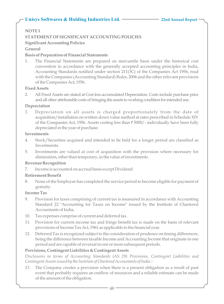#### **NOTE 1**

#### **STATEMENT OF SIGNIFICANT ACCOUNTING POLICIES**

#### **Significant Accounting Policies**

#### **General**

#### **Basis of Preparation of Financial Statements**

1. The Financial Statements are prepared on mercantile basis under the historical cost convention in accordance with the generally accepted accounting principles in India, Accounting Standards notified under section 211(3C) of the Companies Act 1956, read with the Companies (Accounting Standard) Rules, 2006 and the other relevant provisions of the Companies Act, 1956.

#### **Fixed Assets**

2. All Fixed Assets are stated at Cost less accumulated Depreciation. Costs include purchase price and all other attributable costs of bringing the assets to working condition for intended use.

#### **Depreciation**

3. Depreciation on all assets is charged proportionately from the date of acquisition/installation on written down value method at rates prescribed in Schedule XIV of the Companies Act, 1956. Assets costing less than  $\bar{\tau}$  5000/- individually have been fully depreciated in the year of purchase.

#### **Investments**

- 4. Stock/Securities acquired and intended to be held for a longer period are classified as Investments.
- 5. Investments are valued at cost of acquisition with the provision where necessary for diminution, other than temporary, in the value of investments.

#### **Revenue Recognition**

7. Income is accounted on accrual basis except Dividend.

#### **Retirement Benefit**

8. None of the Employee has completed the service period to become eligible for payment of gratuity.

#### **Income Tax**

- 9. Provision for taxes comprising of current tax is measured in accordance with Accounting Standard 22 "Accounting for Taxes on Income" issued by the Institute of Chartered Accountants of India.
- 10. Tax expenses comprise of current and deferred tax.
- 11. Provision for current income tax and fringe benefit tax is made on the basis of relevant provisions of Income Tax Act, 1961 as applicable to the financial year.
- 12. Deferred Tax is recognized subject to the consideration of prudence on timing differences, being the difference between taxable Income and Accounting Income that originate in one period and are capable of reversal in one or more subsequent periods.

#### **Provisions, Contingent Liabilities & Contingent Assets**

*Disclosures in terms of Accounting Standards (AS 29) Provisions, Contingent Liabilities and Contingent Assets issued by the Institute of Chartered Accountants of India :-*

13. The Company creates a provision when there is a present obligation as a result of past event that probably requires an outflow of resources and a reliable estimate can be made of the amount of the obligation.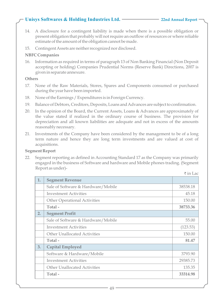- 14. A disclosure for a contingent liability is made when there is a possible obligation or present obligation that probably will not require an outflow of resources or where reliable estimate of the amount of the obligation cannot be made.
- 15. Contingent Assets are neither recognized nor disclosed.

#### **NBFC Companies**

16. Information as required in terms of paragraph 13 of Non Banking Financial (Non Deposit accepting or holding) Companies Prudential Norms (Reserve Bank) Directions, 2007 is given in separate annexure.

#### **Others**

- 17. None of the Raw Materials, Stores, Spares and Components consumed or purchased during the year have been imported.
- 18. None of the Earnings / Expenditures is in Foreign Currency.
- 19. Balance of Debtors, Creditors, Deposits, Loans and Advances are subject to confirmation.
- 20. In the opinion of the Board, the Current Assets, Loans & Advances are approximately of the value stated if realized in the ordinary course of business. The provision for depreciation and all known liabilities are adequate and not in excess of the amounts reasonably necessary.
- 21. Investments of the Company have been considered by the management to be of a long term nature and hence they are long term investments and are valued at cost of acquisitions.

#### **Segment Report**

22. Segment reporting as defined in Accounting Standard 17 as the Company was primarily engaged in the business of Software and hardware and Mobile phones trading. (Segment Report as under)-  $\bar{z}$  in Lac

| 1. | <b>Segment Revenue</b>              |          |
|----|-------------------------------------|----------|
|    | Sale of Software & Hardware/Mobile  | 38538.18 |
|    | Investment Activities               | 45.18    |
|    | Other Operational Activities        | 150.00   |
|    | Total-                              | 38733.36 |
| 2. | <b>Segment Profit</b>               |          |
|    | Sale of Software & Hardware/Mobile  | 55.00    |
|    | Investment Activities               | (123.53) |
|    | <b>Other Unallocated Activities</b> | 150.00   |
|    | Total-                              | 81.47    |
| 3. | <b>Capital Employed</b>             |          |
|    | Software & Hardware/Mobile          | 3793.90  |
|    | <b>Investment Activities</b>        | 29385.73 |
|    | <b>Other Unallocated Activities</b> | 135.35   |
|    | Total-                              | 33314.98 |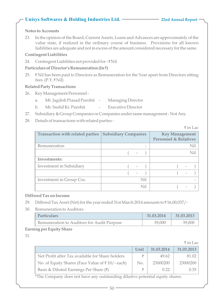#### **Notes to Accounts**

23. In the opinion of the Board, Current Assets, Loans and Advances are approximately of the value state, if realized in the ordinary course of business. Provisions for all known liabilities are adequate and not in excess of the amount considered necessary for the same.

#### **Contingent Liabilities**

24. Contingent Liabilities not provided for  $-\bar{\tau}$  Nil

#### Particulars of Director's Remuneration (In₹)

25.  $\bar{\tau}$  Nil has been paid to Directors as Remuneration for the Year apart from Directors sitting fees.  $(P.Y.\overline{\tau}$  Nil)

#### **Related Party Transactions**

- 26. Key Management Personnel
	- a. Mr. Jagdish Prasad Purohit Managing Director
	- b. Mr. Sushil Kr. Purohit Executive Director
- 27. Subsidiary & Group Companies or Companies under same management Not Any.
- 28. Details of transactions with related parties -

 $\bar{\tau}$  in Lac

 $\approx$  in Table

| <b>Transaction with related parties</b> | <b>Subsidiary Companies</b> | <b>Key Management</b><br><b>Personnel &amp; Relatives</b> |
|-----------------------------------------|-----------------------------|-----------------------------------------------------------|
| Remuneration                            |                             | Nil                                                       |
|                                         | $\overline{\phantom{a}}$    |                                                           |
| Investments:                            |                             |                                                           |
| Investment in Subsidiary                | $\overline{\phantom{a}}$    |                                                           |
|                                         | $\overline{\phantom{a}}$    |                                                           |
| Investment in Group Cos.                | Nil                         |                                                           |
|                                         | Nil                         |                                                           |

#### **Differed Tax on Income**

- 29. Differed Tax Asset (Net) for the year ended 31st March 2014 amounts to  $\overline{6}$  16,00,037/-
- 30. Remuneration to Auditors

| <b>Particulars</b>                         | 31.03.2014 | 31.03.2013 |
|--------------------------------------------|------------|------------|
| Remuneration to Auditors for Audit Purpose | 39,000     | 39,000     |

#### **Earning per Equity Share**

31.

|                                                   |      |            | 3 1 D. J. AC |
|---------------------------------------------------|------|------------|--------------|
|                                                   | Unit | 31.03.2014 | 31.03.2013   |
| Net Profit after Tax available for Share holders  |      | 49.62      | 81.02        |
| No. of Equity Shares (Face Value of ₹10/-each)    | No.  | 23000200   | 23000200     |
| Basis & Diluted Earnings Per Share $(\bar{\tau})$ |      | 0.22       | 0.35         |

\*The Company does not have any outstanding dilutive potential equity shares.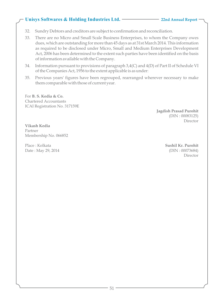- 32. Sundry Debtors and creditors are subject to confirmation and reconciliation.
- 33. There are no Micro and Small Scale Business Enterprises, to whom the Company owes dues, which are outstanding for more than 45 days as at 31st March 2014. This information as required to be disclosed under Micro, Small and Medium Enterprises Development Act, 2006 has been determined to the extent such parties have been identified on the basis of information available with the Company.
- 34. Information pursuant to provisions of paragraph 3,4(C) and 4(D) of Part II of Schedule VI of the Companies Act, 1956 to the extent applicable is as under:
- 35. Previous years' figures have been regrouped, rearranged wherever necessary to make them comparable with those of current year.

For **B. S. Kedia & Co.** Chartered Accountants ICAI Registration No. 317159E

**Jagdish Prasad Purohit** (DIN : 00083125) Director

**Vikash Kedia** Partner Membership No. 066852

Place : Kolkata **Sushil Kr. Purohit** Date : May 29, 2014 (DIN : 00073684)

Director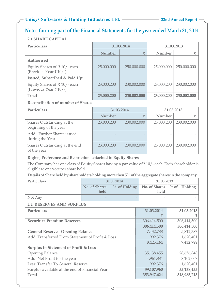#### **Notes forming part of the Financial Statements for the year ended March 31, 2014**

#### **2.1 SHARE CAPITAL**

| <b>Particulars</b>                                   |            | 31.03.2014<br>31.03.2013 |            |             |
|------------------------------------------------------|------------|--------------------------|------------|-------------|
|                                                      | Number     | チ                        | Number     |             |
| Authorised<br>Equity Shares of ₹10/-each             | 25,000,000 | 250,000,000              | 25,000,000 | 250,000,000 |
| (Previous Year ₹10/-)                                |            |                          |            |             |
| Issued, Subscribed & Paid Up:                        |            |                          |            |             |
| Equity Shares of ₹10/- each<br>(Previous Year ₹10/-) | 23,000,200 | 230,002,000              | 23,000,200 | 230,002,000 |
| Total                                                | 23,000,200 | 230,002,000              | 23,000,200 | 230,002,000 |

#### **Reconciliation of number of Shares**

| Particulars                                        |            | 31.03.2014  | 31.03.2013 |             |
|----------------------------------------------------|------------|-------------|------------|-------------|
|                                                    | Number     |             | Number     |             |
| Shares Outstanding at the<br>beginning of the year | 23,000,200 | 230,002,000 | 23,000,200 | 230,002,000 |
| Add: Further Shares issued<br>during the Year      |            |             |            |             |
| Shares Outstanding at the end<br>of the year       | 23,000,200 | 230,002,000 | 23,000,200 | 230,002,000 |

#### **Rights, Preference and Restrictions attached to Equity Shares**

The Company has one class of Equity Shares having a par value of  $\bar{\tau}$  10/- each. Each shareholder is eligible to one vote per share held.

#### **Details of Share held by shareholders holding more then 5% of the aggregate shares in the company**

| <b>Particulars</b> |                          | 31,03,2014 | 31.03.2013               |                                                   |
|--------------------|--------------------------|------------|--------------------------|---------------------------------------------------|
|                    | No. of Shares<br>held    |            | held                     | $\%$ of Holding   No. of Shares   $\%$ of Holding |
| Not Any            | $\overline{\phantom{a}}$ |            | $\overline{\phantom{a}}$ |                                                   |

#### **2.2 RESERVES AND SURPLUS**

| <b>Particulars</b>                               | 31.03.2014  | 31.03.2013   |
|--------------------------------------------------|-------------|--------------|
|                                                  |             |              |
| <b>Securities Premium Reserves</b>               | 306,414,500 | 306,414,500  |
|                                                  | 306,414,500 | 306,414,500  |
| <b>General Reserve - Opening Balance</b>         | 7,432,788   | 5,812,387    |
| Add: Transferred From Statement of Profit & Loss | 992,376     | 1,620,401    |
|                                                  | 8,425,164   | 7,432,788    |
| Surplus in Statement of Profit & Loss            |             |              |
| <b>Opening Balance</b>                           | 35,138,455  | 28,656,848   |
| Add: Net Profit for the year                     | 4,961,881   | 8,102,007    |
| Less: Transfer To General Reserve                | 992,376     | 1,620,401    |
| Surplus available at the end of Financial Year   | 39,107,960  | 35, 138, 455 |
| Total                                            | 353,947,624 | 348,985,743  |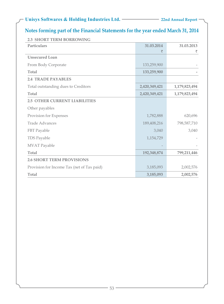## **Notes forming part of the Financial Statements for the year ended March 31, 2014**

| <b>2.3 SHORT TERM BORROWING</b>            |               |               |
|--------------------------------------------|---------------|---------------|
| Particulars                                | 31.03.2014    | 31.03.2013    |
|                                            | ₹             | ₹             |
| <b>Unsecured Loan</b>                      |               |               |
| From Body Corporate                        | 133,259,900   |               |
| Total                                      | 133,259,900   |               |
| <b>2.4 TRADE PAYABLES</b>                  |               |               |
| Total outstanding dues to Creditors        | 2,420,349,421 | 1,179,823,494 |
| Total                                      | 2,420,349,421 | 1,179,823,494 |
| <b>2.5 OTHER CURRENT LIABILITIES</b>       |               |               |
| Other payables                             |               |               |
| Provision for Expenses                     | 1,782,888     | 620,696       |
| Trade Advances                             | 189,408,216   | 798,587,710   |
| FBT Payable                                | 3,040         | 3,040         |
| <b>TDS Payable</b>                         | 1,154,729     |               |
| <b>MVAT Payable</b>                        |               |               |
| Total                                      | 192,348,874   | 799,211,446   |
| <b>2.6 SHORT TERM PROVISIONS</b>           |               |               |
| Provision for Income Tax (net of Tax paid) | 3,185,093     | 2,002,576     |
| Total                                      | 3,185,093     | 2,002,576     |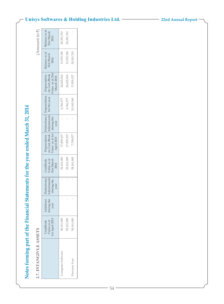| $\overline{\phantom{a}}$<br>ć |
|-------------------------------|
|                               |
|                               |
|                               |
|                               |
|                               |
|                               |
|                               |
|                               |
|                               |
|                               |
|                               |
|                               |
|                               |
|                               |
|                               |
|                               |
|                               |
|                               |
|                               |
|                               |
|                               |
|                               |
| ١                             |
|                               |
|                               |
|                               |
|                               |

# 2.7. INTANGIVLE ASSETS

| Notes forming part of the Financial Statements for the year ended March 31, 2014 |                                            |                    |                                                             |                                                |                                          |      |            |                                                                                                                                                  |                                     |                                     |
|----------------------------------------------------------------------------------|--------------------------------------------|--------------------|-------------------------------------------------------------|------------------------------------------------|------------------------------------------|------|------------|--------------------------------------------------------------------------------------------------------------------------------------------------|-------------------------------------|-------------------------------------|
| 2.7. INTANGIVLE ASSETS                                                           |                                            |                    |                                                             |                                                |                                          |      |            |                                                                                                                                                  |                                     | (Amount in 7)                       |
|                                                                                  | Cost/Book<br>Value as at<br>1st April 2013 | during the<br>year | Additions   Deductions<br>Adjustments<br>during the<br>year | Cost/Book<br>Value as at<br>31st March<br>2014 | Value as at 1st during the<br>April 2013 | vear |            | Depreciation Deductions / Depreciation Depreciation<br>alue as at 31st<br>on Cost/Book   Adjustments   for the year   on Cost/Book<br>March 2014 | Balance as at<br>31st March<br>2014 | Balance as at<br>31st March<br>2013 |
| Computer Software                                                                | 38,161,000                                 |                    |                                                             | 38,161,000                                     | 17,859,237                               |      | 6,766,577  | 24,625,814                                                                                                                                       | 13,535,186                          | 20,301,763                          |
|                                                                                  | 38,161,000                                 |                    |                                                             | 38,161,000                                     | 17,859,237                               |      | 6,766,577  | 24,625,814                                                                                                                                       | 13,535,186                          | 20,301,763                          |
| Previous Year                                                                    | 38,161,000                                 |                    |                                                             | 38,161,000                                     | 7,709,877                                |      | 10,149,360 | 17,859,237                                                                                                                                       | 20,301,763                          |                                     |
|                                                                                  |                                            |                    |                                                             |                                                |                                          |      |            |                                                                                                                                                  |                                     |                                     |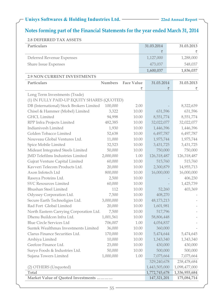## **Notes forming part of the Financial Statements for the year ended March 31, 2014**

**2.8 DEFERRED TAX ASSETS**

| Particulars                                 |                |                   | 31.03.2014    |   | 31.03.2013    |
|---------------------------------------------|----------------|-------------------|---------------|---|---------------|
|                                             |                |                   | ₹             |   | ₹             |
| Deferred Revenue Expenses                   |                |                   | 1,127,000     |   | 1,288,000     |
| Share Issue Expenses                        |                |                   | 473,037       |   | 548,037       |
|                                             |                |                   | 1,600,037     |   | 1,836,037     |
| <b>2.9 NON CURRENT INVESTMENTS</b>          |                |                   |               |   |               |
| Particulars                                 | <b>Numbers</b> | <b>Face Value</b> | 31.03.2014    |   | 31.03.2013    |
|                                             |                |                   | ₹             | ₹ | ₹             |
| Long Term Investments (Trade)               |                |                   |               |   |               |
| (1) IN FULLY PAID-UP EQUITY SHARES (QUOTED) |                |                   |               |   |               |
| DB (International) Stock Brokers Limited    | 100,000        | 2.00              |               |   | 8,322,639     |
| Chisel & Hammer (Mobel) Limited             | 3,322          | 10.00             | 631,596       |   | 631,596       |
| <b>GHCL Limited</b>                         | 94,998         | 10.00             | 8,551,774     |   | 8,551,774     |
| RPP Infra Projects Limited                  | 482,385        | 10.00             | 32,022,077    |   | 32,022,077    |
| Indianivesh Limited                         | 1,930          | 10.00             | 1,446,396     |   | 1,446,396     |
| Golden Tobacco Limited                      | 52,638         | 10.00             | 6,497,787     |   | 6,497,787     |
| Nouveau Global Ventures Ltd.                | 11,000         | 10.00             | 1,975,744     |   | 1,975,744     |
| Spice Mobile Limited                        | 32,523         | 10.00             | 3,431,725     |   | 3,431,725     |
| Mideast Integrated Steels Limited           | 50,000         | 10.00             | 750,000       |   | 750,000       |
| JMD Telefilms Industries Limited            | 2,000,000      | 1.00              | 126,318,487   |   | 126,318,487   |
| Gujrat Venture Capital Limited              | 60,000         | 10.00             | 515,760       |   | 515,760       |
| Kavveri Telecom Products Ltd.               | 20,000         | 10.00             | 2,300,879     |   | 14,955,713    |
| Axon Infotech Ltd                           | 800,000        | 10.00             | 16,000,000    |   | 16,000,000    |
| Rasoya Proteins Ltd.                        | 2,500          | 10.00             |               |   | 406,230       |
| <b>SVC Resources Limited</b>                | 60,000         | 10.00             |               |   | 1,425,739     |
| <b>Bhushan Steel Limited</b>                | 112            | 10.00             | 52,260        |   | 403,369       |
| Odyssey Corporation Ltd.                    | 7,500          | 10.00             | 408,270       |   |               |
| Secure Earth Technoligies Ltd.              | 3,000,000      | 10.00             | 48,173,213    |   |               |
| Rad Fort Global Limited                     | 20,000         | 10.00             | 1,601,981     |   |               |
| North Eastern Carrying Corporation Ltd.     | 7,500          | 10.00             | 517,796       |   |               |
| Dhenu Buildcon Infra Ltd.                   | 1,001,561      | 10.00             | 58,806,448    |   |               |
| <b>Blue Circle Services Ltd</b>             | 706,007        | 1.00              | 4,054,837     |   |               |
| Suntek Wealthmax Investments Limited        | 36,000         | 10.00             | 360,000       |   |               |
| Clarus Finance Securities Ltd.              | 170,000        | 10.00             | 5,474,644     |   | 5,474,645     |
| Arshiya Limited                             | 10,000         | 10.00             | 1,343,340     |   | 1,343,340     |
| Geefcee Finance Ltd.                        | 23,000         | 10.00             | 430,000       |   | 430,000       |
| Suryo Foods & Industries Ltd.               | 50,000         | 10.00             | 500,000       |   | 500,000       |
| Sujana Towers Limited                       | 1,000,000      | 1.00              | 7,075,664     |   | 7,075,664     |
|                                             |                |                   | 329,240,678   |   | 238,478,684   |
| (2) OTHERS (Unquoted)                       |                |                   | 1,443,505,000 |   | 1,098,477,000 |
| Total                                       |                |                   | 1,772,745,678 |   | 1,336,955,684 |
| Market Value of Quoted Investments          |                |                   | 147,321,201   |   | 175,084,714   |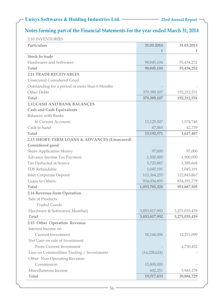## **Notes forming part of the Financial Statements for the year ended March 31, 2014**

| 2.10 INVENTORIES                               |                |               |
|------------------------------------------------|----------------|---------------|
| <b>Particulars</b>                             | 31.03.2014     | 31.03.2013    |
|                                                | ₹              |               |
| <b>Stock In trade</b>                          |                |               |
| Hardwares and Softwares                        | 98,845,104     | 55,434,252    |
| Total                                          | 98,845,104     | 55,434,252    |
| <b>2.11 TRADE RECEIVABLES</b>                  |                |               |
| <b>Unsecured Considered Good</b>               |                |               |
| Outstanding for a period of more than 6 Months |                |               |
| Other Debts                                    | 379,389,107    | 192,212,531   |
| Total                                          | 379,389,107    | 192,212,531   |
| <b>2.12 CASH AND BANK BALANCES</b>             |                |               |
| <b>Cash and Cash Equivalents</b>               |                |               |
| <b>Balances with Banks</b>                     |                |               |
| In Current Accounts                            | 13,125,507     | 1,574,748     |
| Cash in hand                                   | 67,065         | 42,739        |
| Total                                          | 13,192,571     | 1,617,487     |
| 2.13 SHORT-TERM LOANS & ADVANCES (Unsecured)   |                |               |
| Considered good                                |                |               |
| Share Application Money                        | 97,000         | 97,000        |
| Advance Income Tax Payment                     | 1,500,000      | 1,900,000     |
| Tax Deducted at Source                         | 3,723,887      | 1,389,668     |
| <b>TDS Refundable</b>                          | 1,045,191      | 1,045,191     |
| <b>Inter Corporate Deposit</b>                 | 113,364,255    | 112,843,867   |
| Loans to Others                                | 934,054,895    | 834,391,779   |
| Total                                          | 1,053,785,228  | 951,667,505   |
| 2.14 Revenue form Operation                    |                |               |
| Sale of Products                               |                |               |
| <b>Traded Goods</b>                            |                |               |
| Hardware & Softwares(Mumbai)                   | 3,853,817,992  | 3,271,035,439 |
| Total                                          | 3,853,817,992  | 3,271,035,439 |
| 2.15 Other Operation Revenue                   |                |               |
| Interest Income on                             |                |               |
| <b>Current Investment</b>                      | 18,144,006     | 12,211,099    |
| Net Gain on sale of Investment                 |                |               |
| <b>From Current Investment</b>                 |                | 4,730,452     |
| Loss on Commodities Trading / Investments      | (14, 228, 624) |               |
| Other Non-Operating Revenue                    |                |               |
| Commission                                     | 15,000,000     |               |
| Miscellaneous Income                           | 602,251        | 3,943,178     |
| Total                                          | 19,517,633     | 20,884,729    |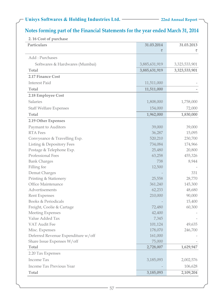#### **Notes forming part of the Financial Statements for the year ended March 31, 2014**

**2. 16 Cost of purchase**

| Particulars                        | 31.03.2014    | 31.03.2013    |
|------------------------------------|---------------|---------------|
|                                    | ₹             | ₹             |
| Add: Purchases                     |               |               |
| Softwares & Hardwares (Mumbai)     | 3,885,631,919 | 3,323,533,901 |
| Total                              | 3,885,631,919 | 3,323,533,901 |
| 2.17 Finance Cost                  |               |               |
| <b>Interest Paid</b>               | 11,511,000    |               |
| Total                              | 11,511,000    |               |
| 2.18 Employee Cost                 |               |               |
| Salaries                           | 1,808,000     | 1,758,000     |
| <b>Staff Welfare Expenses</b>      | 154,000       | 72,000        |
| Total                              | 1,962,000     | 1,830,000     |
| 2.19 Other Expenses                |               |               |
| Paymant to Auditors                | 39,000        | 39,000        |
| <b>RTA Fees</b>                    | 36,287        | 15,095        |
| Convyeance & Travelling Exp.       | 520,210       | 230,700       |
| Listing & Depository Fees          | 734,084       | 174,966       |
| Postage & Telephone Exp.           | 25,480        | 20,800        |
| Professional Fees                  | 63,258        | 455,326       |
| <b>Bank Charges</b>                | 738           | 8,944         |
| Filling fee                        | 12,500        |               |
| Demat Charges                      |               | 331           |
| Printing & Stationery              | 25,558        | 28,770        |
| Office Maintenance                 | 361,240       | 145,300       |
| Advertisements                     | 62,233        | 48,680        |
| Rent Expenses                      | 210,000       | 90,000        |
| Books & Periodicals                |               | 15,400        |
| Freight, Coolie & Cartage          | 72,480        | 60,300        |
| <b>Meeting Expenses</b>            | 42,400        |               |
| Value Added Tax                    | 7,345         |               |
| VAT Audit Fee                      | 101,124       | 49,635        |
| Misc. Expenses                     | 178,070       | 246,700       |
| Deferred Revenue Expenditure w/off | 161,000       |               |
| Share Issue Expenses W/off         | 75,000        |               |
| Total                              | 2,728,007     | 1,629,947     |
| 2.20 Tax Expenses                  |               |               |
| Income Tax                         | 3,185,093     | 2,002,576     |
| <b>Income Tax Previous Year</b>    |               | 106,628       |
| Total                              | 3,185,093     | 2,109,204     |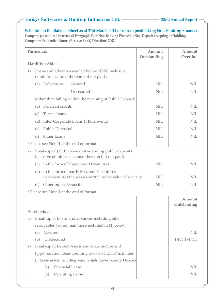#### **Schedule to the Balance Sheet as at 31st March 2014 of non-deposit taking Non-Banking Financial**

**Company (as required in terms of Paragraph 13 of Non-Banking Financial (Non-Deposit accepting or Holding) Companies Prudential Norms (Reserve Bank) Directions 2007)**

| Particulars                                                                                                            | Amount<br>Outstanding | Amount<br>Overdue        |
|------------------------------------------------------------------------------------------------------------------------|-----------------------|--------------------------|
| Liabilities Side:                                                                                                      |                       |                          |
| 1)<br>Loans and advances availed by the NBFC inclusive<br>of interest accrued thereon but not paid :                   |                       |                          |
| (a) Debentures :<br>Secured                                                                                            | NIL.                  | NIL                      |
| Unsecured                                                                                                              | <b>NIL</b>            | <b>NIL</b>               |
| (other than falling within the meaning of Public Deposit)                                                              |                       |                          |
| (b) Deferred credits                                                                                                   | NIL                   | NIL                      |
| Terms Loans<br>(c)                                                                                                     | NIL                   | NIL                      |
| Inter-Corporate Loans & Borrowings<br>(d)                                                                              | <b>NIL</b>            | <b>NIL</b>               |
| Public Deposits*<br>(e)                                                                                                | NIL                   | NIL                      |
| Other Loans<br>(f)                                                                                                     | <b>NIL</b>            | NIL                      |
| * Please see Note 1 at the end of format.                                                                              |                       |                          |
| Break-up of (1) (f) above (out -standing public deposits<br>2)<br>inclusive of interest accrued there on but not paid) |                       |                          |
| In the form of Unsecured Debentures<br>(a)                                                                             | NIL                   | NIL                      |
| (b) In the form of partly Secured Debentures<br>i.e.debentures there is a shortfall in the value of security           | NIL.                  | NIL                      |
| (c) Other public Deposits                                                                                              | <b>NIL</b>            | <b>NIL</b>               |
| * Please see Note 1 at the end of format.                                                                              |                       |                          |
|                                                                                                                        |                       | Amount<br>Outstanding    |
| Assets Side:                                                                                                           |                       |                          |
| 3)<br>Break-up of Loans and advances including bills                                                                   |                       |                          |
| receivables [ other than those included in (4) below] :                                                                |                       |                          |
| Secured<br>(a)                                                                                                         |                       | <b>NIL</b>               |
| Un-Secured<br>(b)                                                                                                      |                       | 1,433,174,335            |
| Break-up of Leased Assets and stock on hire and<br>4)                                                                  |                       |                          |
| hypothecation loans counting towards FL/HP activities :                                                                |                       |                          |
| (i) Lease assets including lease rentals under Sundry Debtors                                                          |                       |                          |
| <b>Financial Lease</b><br>(a)                                                                                          |                       | <b>NIL</b><br><b>NIL</b> |
| <b>Operating Lease</b><br>(b)                                                                                          |                       |                          |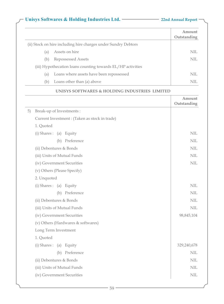|              |                                                                | Amount<br>Outstanding |
|--------------|----------------------------------------------------------------|-----------------------|
|              | (ii) Stock on hire including hire charges under Sundry Debtors |                       |
| (a)          | Assets on hire                                                 | NIL.                  |
| (b)          | Repossessed Assets                                             | NIL                   |
|              | (iii) Hypothecation loans counting towards EL/HP activities    |                       |
| (a)          | Loans where assets have been repossessed                       | NIL                   |
| $\mathsf{b}$ | Loans other than (a) above                                     | NII                   |

|    |                                                | Amount<br>Outstanding |
|----|------------------------------------------------|-----------------------|
| 5) | Break-up of Investments:                       |                       |
|    | Current Investment : (Taken as stock in trade) |                       |
|    | 1. Quoted                                      |                       |
|    | (i) Shares: (a) Equity                         | <b>NIL</b>            |
|    | Preference<br>(b)                              | <b>NIL</b>            |
|    | (ii) Debentures & Bonds                        | <b>NIL</b>            |
|    | (iii) Units of Mutual Funds                    | <b>NIL</b>            |
|    | (iv) Government Securities                     | <b>NIL</b>            |
|    | (v) Others (Please Specify)                    |                       |
|    | 2. Unquoted                                    |                       |
|    | $(i)$ Shares : $(a)$<br>Equity                 | <b>NIL</b>            |
|    | Preference<br>(b)                              | <b>NIL</b>            |
|    | (ii) Debentures & Bonds                        | <b>NIL</b>            |
|    | (iii) Units of Mutual Funds                    | <b>NIL</b>            |
|    | (iv) Government Securities                     | 98,845,104            |
|    | (v) Others (Hardwares & softwares)             |                       |
|    | Long Term Investment                           |                       |
|    | 1. Quoted                                      |                       |
|    | (i) Shares: (a) Equity                         | 329,240,678           |
|    | Preference<br>(b)                              | <b>NIL</b>            |
|    | (ii) Debentures & Bonds                        | <b>NIL</b>            |
|    | (iii) Units of Mutual Funds                    | <b>NIL</b>            |
|    | (iv) Government Securities                     | <b>NIL</b>            |
|    |                                                |                       |

#### **UNISYS SOFTWARES & HOLDING INDUSTRIES LIMITED**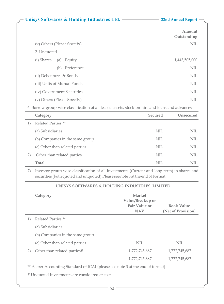|                             | Amount<br>Outstanding |
|-----------------------------|-----------------------|
| (v) Others (Please Specify) | <b>NIL</b>            |
| 2. Unquoted                 |                       |
| $(i)$ Shares : $(a)$ Equity | 1,443,505,000         |
| Preference<br>(b)           | NIL                   |
| (ii) Debentures & Bonds     | NIL                   |
| (iii) Units of Mutual Funds | NIL                   |
| (iv) Government Securities  | NIL                   |
| (v) Others (Please Specify) | NIL                   |

6. Borrow group-wise classification of all leased assets, stock-on-hire and loans and advances

| Category                        | Secured | Unsecured |
|---------------------------------|---------|-----------|
| Related Parties **              |         |           |
| (a) Subsidiaries                | NIL.    | NIL.      |
| (b) Companies in the same group | NIL.    | NIL.      |
| (c) Other than related parties  | NIL.    | NIL.      |
| Other than related parties      | NIL.    | NIL.      |
| Total                           | NIL.    | NIL.      |

7) Investor group wise classification of all investments (Current and long term) in shares and securities (both quoted and unquoted) Please see note 3 at the end of Format.

#### **UNISYS SOFTWARES & HOLDING INDUSTRIES LIMITED**

|    | Category                        | <b>Market</b><br>Value/Breakup or<br>Fair Value or<br><b>NAV</b> | <b>Book Value</b><br>(Net of Provision) |
|----|---------------------------------|------------------------------------------------------------------|-----------------------------------------|
| 1) | Related Parties **              |                                                                  |                                         |
|    | (a) Subsidiaries                |                                                                  |                                         |
|    | (b) Companies in the same group |                                                                  |                                         |
|    | (c) Other than related parties  | NIL.                                                             | NIL.                                    |
| 2) | Other than related parties#     | 1,772,745,687                                                    | 1,772,745,687                           |
|    |                                 | 1,772,745,687                                                    | 1,772,745,687                           |

\*\* As per Accounting Standard of ICAI (please see note 3 at the end of format)

# Unquoted Investments are considered at cost.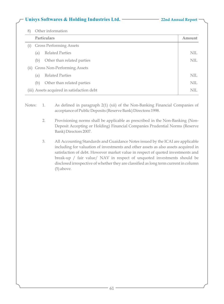|                         |                            | Amount                                                                                               |
|-------------------------|----------------------------|------------------------------------------------------------------------------------------------------|
| Gross Performing Assets |                            |                                                                                                      |
| (a)                     | <b>Related Parties</b>     | NIL                                                                                                  |
| (b)                     | Other than related parties | <b>NIL</b>                                                                                           |
|                         |                            |                                                                                                      |
| (a)                     | <b>Related Parties</b>     | NIL                                                                                                  |
| (b)                     | Other than related parties | NIL                                                                                                  |
|                         |                            | NIL                                                                                                  |
|                         |                            | <b>Particulars</b><br>(ii) Gross Non-Performing Assets<br>(iii) Assets acquired in satisfaction debt |

#### Notes: 1. As defined in paragraph 2(1) (xii) of the Non-Banking Financial Companies of acceptance of Public Deposits (Reserve Bank) Directons 1998.

- 2. Provisioning norms shall be applicable as prescribed in the Non-Banking (Non-Deposit Accepting or Holding) Financial Companies Prudential Norms (Reserve Bank) Directors 2007.
- 3. All Accounting Standards and Guaidance Notes issued by the ICAI are applicable including for valuation of investments and other assets as also assets acquired in satisfaction of debt. However market value in respect of quoted investments and break-up / fair value/ NAV in respect of unquoted investments should be disclosed irrespective of whether they are classified as long term current in column (5) above.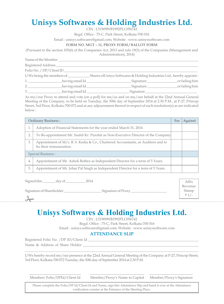# **Unisys Softwares & Holding Industries Ltd.**

CIN : L51909WB1992PLC056742

Regd. Office : 75-C, Park Street, Kolkata-700 016

Email : unisys.softwares@gmail.com; Website : www.unisyssoftware.com

#### **FORM NO. MGT – 11, PROXY FORM / BALLOT FORM**

(Pursuant to the section 105(6) of the Companies Act, 2013 and rule 19(3) of the Companies (Management and Administration), 2014)

| Name of the Member        |                          |                                                                       |                 |
|---------------------------|--------------------------|-----------------------------------------------------------------------|-----------------|
|                           | Registered Address       |                                                                       |                 |
|                           | Folio No. / DP/Client ID |                                                                       |                 |
| I/We being the members of |                          | Shares of Unisys Softwares & Holding Industries Ltd., hereby appoint- |                 |
| $1.$ $\qquad \qquad$      |                          | Signature                                                             | _or failing him |
| 2.                        | having email Id          | Signature                                                             | _or failing him |
| 3.                        | having email Id_         | Signature                                                             |                 |

As my/our Proxy to attend and vote (on a poll) for me/us and on my/our behalf at the 22nd Annual General Meeting of the Company, to be held on Tuesday, the 30th day of September 2014 at 2.30 P.M., at P-27, Princep Street, 3rd Floor, Kolkata-700 072 and at any adjournment thereof in respect of such resolution(s) as are indicated below :

| <b>Ordinary Business:</b> |                                                                                                             |  | Against |
|---------------------------|-------------------------------------------------------------------------------------------------------------|--|---------|
| 1.                        | Adoption of Financial Statements for the year ended March 31, 2014                                          |  |         |
|                           | To Re-appointment Mr. Sushil Kr. Purohit as Non-Executive Director of the Company                           |  |         |
| 3.                        | Appointment of M/s. B. S. Kedia & Co., Chartered Accountants, as Auditors and to<br>fix their remuneration. |  |         |
| Special Business:         |                                                                                                             |  |         |
| 4.                        | Appointment of Mr. Ashok Bothra as Independent Director for a term of 5 Years.                              |  |         |
| 5.                        | Appointment of Mr. Johar Pal Singh as Independent Director for a term of 5 Years.                           |  |         |

Signed this day of 2014

Signature of Shareholder **Signature of Proxy**  $\overline{\phantom{a}}$ 

 $\rightarrow$ 

Affix Revenue Stamp  $\bar{z}$  1/-

# **Unisys Softwares & Holding Industries Ltd.**

CIN : L51909WB1992PLC056742

Regd. Office : 75-C, Park Street, Kolkata-700 016

Email : unisys.softwares@gmail.com; Website : www.unisyssoftware.com

#### **ATTENDANCE SLIP**

Registered Folio No. /DP ID/Client Id \_ Name & Address of Share Holder

\_\_\_\_\_\_\_\_\_\_\_\_\_\_\_\_\_\_\_\_\_\_\_\_\_\_\_\_\_\_\_\_\_\_\_\_\_\_\_\_\_\_\_\_\_\_\_\_\_\_\_\_\_\_\_\_\_\_\_\_\_\_\_\_\_\_\_\_\_\_\_\_\_\_\_\_\_\_\_\_\_\_\_\_\_\_\_\_\_\_\_ I/We hereby record my/our presence at the 22nd Annual General Meeting of the Company at P-27, Princep Street, 3rd Floor, Kolkata-700 072 Tuesday, the 30th day of September 2014 at 2.30 P.M.

Members' Folio/DPId/Client Id Member/Proxy's Name in Capital Member/Proxy's Signature

Please complete the Folio/DP Id/Client Id and Name, sign this Attendance Slip and hand it over at the Attendance verification counter at the Entrance of the Meeting Place.